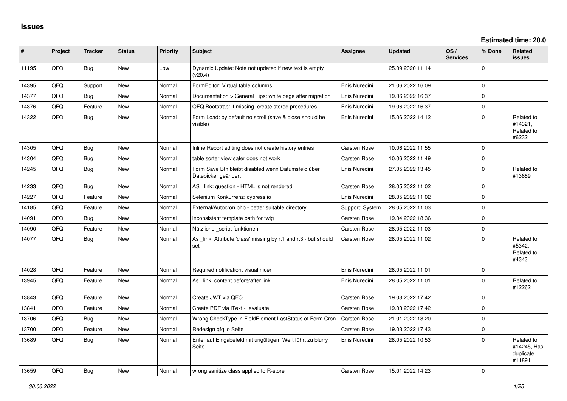| #     | Project | <b>Tracker</b> | <b>Status</b> | <b>Priority</b> | Subject                                                                   | Assignee        | Updated          | OS/<br><b>Services</b> | % Done   | Related<br><b>issues</b>                         |
|-------|---------|----------------|---------------|-----------------|---------------------------------------------------------------------------|-----------------|------------------|------------------------|----------|--------------------------------------------------|
| 11195 | QFQ     | Bug            | <b>New</b>    | Low             | Dynamic Update: Note not updated if new text is empty<br>(v20.4)          |                 | 25.09.2020 11:14 |                        | $\Omega$ |                                                  |
| 14395 | QFQ     | Support        | <b>New</b>    | Normal          | FormEditor: Virtual table columns                                         | Enis Nuredini   | 21.06.2022 16:09 |                        | $\Omega$ |                                                  |
| 14377 | QFQ     | Bug            | <b>New</b>    | Normal          | Documentation > General Tips: white page after migration                  | Enis Nuredini   | 19.06.2022 16:37 |                        | $\Omega$ |                                                  |
| 14376 | QFQ     | Feature        | <b>New</b>    | Normal          | QFQ Bootstrap: if missing, create stored procedures                       | Enis Nuredini   | 19.06.2022 16:37 |                        | $\Omega$ |                                                  |
| 14322 | QFQ     | Bug            | <b>New</b>    | Normal          | Form Load: by default no scroll (save & close should be<br>visible)       | Enis Nuredini   | 15.06.2022 14:12 |                        | $\Omega$ | Related to<br>#14321,<br>Related to<br>#6232     |
| 14305 | QFQ     | <b>Bug</b>     | <b>New</b>    | Normal          | Inline Report editing does not create history entries                     | Carsten Rose    | 10.06.2022 11:55 |                        | $\Omega$ |                                                  |
| 14304 | QFQ     | Bug            | <b>New</b>    | Normal          | table sorter view safer does not work                                     | Carsten Rose    | 10.06.2022 11:49 |                        | $\Omega$ |                                                  |
| 14245 | QFQ     | Bug            | New           | Normal          | Form Save Btn bleibt disabled wenn Datumsfeld über<br>Datepicker geändert | Enis Nuredini   | 27.05.2022 13:45 |                        | $\Omega$ | Related to<br>#13689                             |
| 14233 | QFQ     | <b>Bug</b>     | <b>New</b>    | Normal          | AS _link: question - HTML is not rendered                                 | Carsten Rose    | 28.05.2022 11:02 |                        | $\Omega$ |                                                  |
| 14227 | QFQ     | Feature        | <b>New</b>    | Normal          | Selenium Konkurrenz: cypress.io                                           | Enis Nuredini   | 28.05.2022 11:02 |                        | $\Omega$ |                                                  |
| 14185 | QFQ     | Feature        | <b>New</b>    | Normal          | External/Autocron.php - better suitable directory                         | Support: System | 28.05.2022 11:03 |                        | $\Omega$ |                                                  |
| 14091 | QFQ     | Bug            | New           | Normal          | inconsistent template path for twig                                       | Carsten Rose    | 19.04.2022 18:36 |                        | $\Omega$ |                                                  |
| 14090 | QFQ     | Feature        | <b>New</b>    | Normal          | Nützliche _script funktionen                                              | Carsten Rose    | 28.05.2022 11:03 |                        | $\Omega$ |                                                  |
| 14077 | QFQ     | <b>Bug</b>     | <b>New</b>    | Normal          | As _link: Attribute 'class' missing by r:1 and r:3 - but should<br>set    | Carsten Rose    | 28.05.2022 11:02 |                        | $\Omega$ | Related to<br>#5342.<br>Related to<br>#4343      |
| 14028 | QFQ     | Feature        | <b>New</b>    | Normal          | Required notification: visual nicer                                       | Enis Nuredini   | 28.05.2022 11:01 |                        | $\Omega$ |                                                  |
| 13945 | QFQ     | Feature        | <b>New</b>    | Normal          | As _link: content before/after link                                       | Enis Nuredini   | 28.05.2022 11:01 |                        | $\Omega$ | Related to<br>#12262                             |
| 13843 | QFQ     | Feature        | <b>New</b>    | Normal          | Create JWT via QFQ                                                        | Carsten Rose    | 19.03.2022 17:42 |                        | $\Omega$ |                                                  |
| 13841 | QFQ     | Feature        | <b>New</b>    | Normal          | Create PDF via iText - evaluate                                           | Carsten Rose    | 19.03.2022 17:42 |                        | $\Omega$ |                                                  |
| 13706 | QFQ     | Bug            | <b>New</b>    | Normal          | Wrong CheckType in FieldElement LastStatus of Form Cron                   | Carsten Rose    | 21.01.2022 18:20 |                        | $\Omega$ |                                                  |
| 13700 | QFQ     | Feature        | <b>New</b>    | Normal          | Redesign qfq.io Seite                                                     | Carsten Rose    | 19.03.2022 17:43 |                        | $\Omega$ |                                                  |
| 13689 | QFQ     | Bug            | <b>New</b>    | Normal          | Enter auf Eingabefeld mit ungültigem Wert führt zu blurry<br>Seite        | Enis Nuredini   | 28.05.2022 10:53 |                        | $\Omega$ | Related to<br>#14245, Has<br>duplicate<br>#11891 |
| 13659 | QFQ     | <b>Bug</b>     | <b>New</b>    | Normal          | wrong sanitize class applied to R-store                                   | Carsten Rose    | 15.01.2022 14:23 |                        | $\Omega$ |                                                  |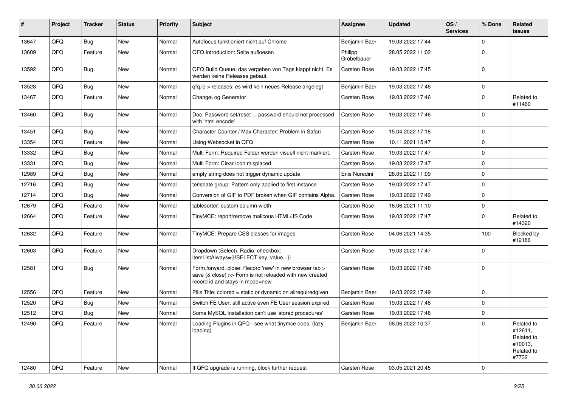| #     | Project | <b>Tracker</b> | <b>Status</b> | <b>Priority</b> | Subject                                                                                                                                             | <b>Assignee</b>        | <b>Updated</b>   | OS/<br><b>Services</b> | % Done      | <b>Related</b><br><b>issues</b>                                       |
|-------|---------|----------------|---------------|-----------------|-----------------------------------------------------------------------------------------------------------------------------------------------------|------------------------|------------------|------------------------|-------------|-----------------------------------------------------------------------|
| 13647 | QFQ     | <b>Bug</b>     | New           | Normal          | Autofocus funktioniert nicht auf Chrome                                                                                                             | Benjamin Baer          | 19.03.2022 17:44 |                        | 0           |                                                                       |
| 13609 | QFQ     | Feature        | <b>New</b>    | Normal          | QFQ Introduction: Seite aufloesen                                                                                                                   | Philipp<br>Gröbelbauer | 28.05.2022 11:02 |                        | $\mathbf 0$ |                                                                       |
| 13592 | QFQ     | <b>Bug</b>     | New           | Normal          | QFQ Build Queue: das vergeben von Tags klappt nicht. Es<br>werden keine Releases gebaut.                                                            | Carsten Rose           | 19.03.2022 17:45 |                        | 0           |                                                                       |
| 13528 | QFQ     | <b>Bug</b>     | <b>New</b>    | Normal          | qfq.io > releases: es wird kein neues Release angelegt                                                                                              | Benjamin Baer          | 19.03.2022 17:46 |                        | $\Omega$    |                                                                       |
| 13467 | QFQ     | Feature        | <b>New</b>    | Normal          | ChangeLog Generator                                                                                                                                 | Carsten Rose           | 19.03.2022 17:46 |                        | $\mathbf 0$ | Related to<br>#11460                                                  |
| 13460 | QFQ     | <b>Bug</b>     | <b>New</b>    | Normal          | Doc: Password set/reset  password should not processed<br>with 'html encode'                                                                        | Carsten Rose           | 19.03.2022 17:46 |                        | 0           |                                                                       |
| 13451 | QFQ     | <b>Bug</b>     | <b>New</b>    | Normal          | Character Counter / Max Character: Problem in Safari                                                                                                | Carsten Rose           | 15.04.2022 17:18 |                        | 0           |                                                                       |
| 13354 | QFQ     | Feature        | <b>New</b>    | Normal          | Using Websocket in QFQ                                                                                                                              | Carsten Rose           | 10.11.2021 15:47 |                        | 0           |                                                                       |
| 13332 | QFQ     | <b>Bug</b>     | <b>New</b>    | Normal          | Multi Form: Required Felder werden visuell nicht markiert.                                                                                          | Carsten Rose           | 19.03.2022 17:47 |                        | 0           |                                                                       |
| 13331 | QFQ     | <b>Bug</b>     | <b>New</b>    | Normal          | Multi Form: Clear Icon misplaced                                                                                                                    | <b>Carsten Rose</b>    | 19.03.2022 17:47 |                        | $\Omega$    |                                                                       |
| 12989 | QFQ     | <b>Bug</b>     | <b>New</b>    | Normal          | empty string does not trigger dynamic update                                                                                                        | Enis Nuredini          | 28.05.2022 11:09 |                        | 0           |                                                                       |
| 12716 | QFQ     | <b>Bug</b>     | <b>New</b>    | Normal          | template group: Pattern only applied to first instance                                                                                              | Carsten Rose           | 19.03.2022 17:47 |                        | 0           |                                                                       |
| 12714 | QFQ     | <b>Bug</b>     | <b>New</b>    | Normal          | Conversion of GIF to PDF broken when GIF contains Alpha.                                                                                            | <b>Carsten Rose</b>    | 19.03.2022 17:49 |                        | 0           |                                                                       |
| 12679 | QFQ     | Feature        | <b>New</b>    | Normal          | tablesorter: custom column width                                                                                                                    | Carsten Rose           | 16.06.2021 11:10 |                        | 0           |                                                                       |
| 12664 | QFQ     | Feature        | New           | Normal          | TinyMCE: report/remove malicous HTML/JS Code                                                                                                        | Carsten Rose           | 19.03.2022 17:47 |                        | $\Omega$    | Related to<br>#14320                                                  |
| 12632 | QFQ     | Feature        | <b>New</b>    | Normal          | TinyMCE: Prepare CSS classes for images                                                                                                             | Carsten Rose           | 04.06.2021 14:35 |                        | 100         | Blocked by<br>#12186                                                  |
| 12603 | QFQ     | Feature        | <b>New</b>    | Normal          | Dropdown (Select), Radio, checkbox:<br>itemListAlways={{!SELECT key, value}}                                                                        | Carsten Rose           | 19.03.2022 17:47 |                        | $\mathbf 0$ |                                                                       |
| 12581 | QFQ     | <b>Bug</b>     | <b>New</b>    | Normal          | Form.forward=close: Record 'new' in new browser tab ><br>save (& close) >> Form is not reloaded with new created<br>record id and stays in mode=new | Carsten Rose           | 19.03.2022 17:48 |                        | 0           |                                                                       |
| 12556 | QFQ     | Feature        | <b>New</b>    | Normal          | Pills Title: colored = static or dynamic on allrequiredgiven                                                                                        | Benjamin Baer          | 19.03.2022 17:49 |                        | 0           |                                                                       |
| 12520 | QFQ     | <b>Bug</b>     | <b>New</b>    | Normal          | Switch FE User: still active even FE User session expired                                                                                           | Carsten Rose           | 19.03.2022 17:48 |                        | 0           |                                                                       |
| 12512 | QFQ     | <b>Bug</b>     | New           | Normal          | Some MySQL Installation can't use 'stored procedures'                                                                                               | Carsten Rose           | 19.03.2022 17:48 |                        | 0           |                                                                       |
| 12490 | QFQ     | Feature        | New           | Normal          | Loading Plugins in QFQ - see what tinymce does. (lazy<br>loading)                                                                                   | Benjamin Baer          | 08.06.2022 10:37 |                        | 0           | Related to<br>#12611,<br>Related to<br>#10013,<br>Related to<br>#7732 |
| 12480 | QFQ     | Feature        | New           | Normal          | If QFQ upgrade is running, block further request                                                                                                    | Carsten Rose           | 03.05.2021 20:45 |                        | 0           |                                                                       |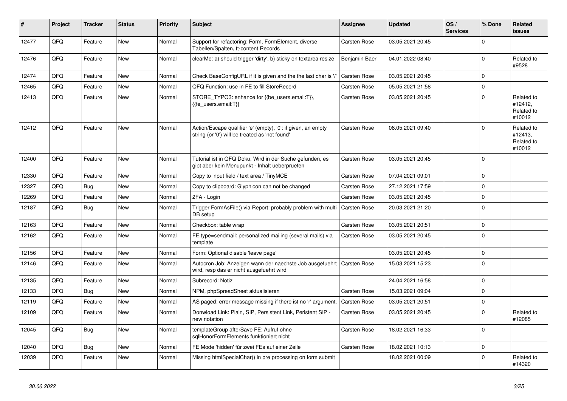| ∥ #   | Project | <b>Tracker</b> | <b>Status</b> | <b>Priority</b> | <b>Subject</b>                                                                                                 | Assignee            | <b>Updated</b>   | OS/<br><b>Services</b> | % Done       | <b>Related</b><br><b>issues</b>               |
|-------|---------|----------------|---------------|-----------------|----------------------------------------------------------------------------------------------------------------|---------------------|------------------|------------------------|--------------|-----------------------------------------------|
| 12477 | QFQ     | Feature        | <b>New</b>    | Normal          | Support for refactoring: Form, FormElement, diverse<br>Tabellen/Spalten, tt-content Records                    | Carsten Rose        | 03.05.2021 20:45 |                        | <sup>0</sup> |                                               |
| 12476 | QFQ     | Feature        | <b>New</b>    | Normal          | clearMe: a) should trigger 'dirty', b) sticky on textarea resize                                               | Benjamin Baer       | 04.01.2022 08:40 |                        | $\Omega$     | Related to<br>#9528                           |
| 12474 | QFQ     | Feature        | <b>New</b>    | Normal          | Check BaseConfigURL if it is given and the the last char is '/'                                                | Carsten Rose        | 03.05.2021 20:45 |                        | 0            |                                               |
| 12465 | QFQ     | Feature        | <b>New</b>    | Normal          | QFQ Function: use in FE to fill StoreRecord                                                                    | Carsten Rose        | 05.05.2021 21:58 |                        | 0            |                                               |
| 12413 | QFQ     | Feature        | <b>New</b>    | Normal          | STORE TYPO3: enhance for {{be users.email:T}},<br>{{fe users.email:T}}                                         | <b>Carsten Rose</b> | 03.05.2021 20:45 |                        | $\Omega$     | Related to<br>#12412,<br>Related to<br>#10012 |
| 12412 | QFQ     | Feature        | <b>New</b>    | Normal          | Action/Escape qualifier 'e' (empty), '0': if given, an empty<br>string (or '0') will be treated as 'not found' | <b>Carsten Rose</b> | 08.05.2021 09:40 |                        | $\Omega$     | Related to<br>#12413.<br>Related to<br>#10012 |
| 12400 | QFQ     | Feature        | <b>New</b>    | Normal          | Tutorial ist in QFQ Doku, Wird in der Suche gefunden, es<br>gibt aber kein Menupunkt - Inhalt ueberpruefen     | <b>Carsten Rose</b> | 03.05.2021 20:45 |                        | $\Omega$     |                                               |
| 12330 | QFQ     | Feature        | <b>New</b>    | Normal          | Copy to input field / text area / TinyMCE                                                                      | <b>Carsten Rose</b> | 07.04.2021 09:01 |                        | <sup>0</sup> |                                               |
| 12327 | QFQ     | Bug            | <b>New</b>    | Normal          | Copy to clipboard: Glyphicon can not be changed                                                                | Carsten Rose        | 27.12.2021 17:59 |                        | $\mathbf 0$  |                                               |
| 12269 | QFQ     | Feature        | <b>New</b>    | Normal          | 2FA - Login                                                                                                    | Carsten Rose        | 03.05.2021 20:45 |                        | 0            |                                               |
| 12187 | QFQ     | <b>Bug</b>     | <b>New</b>    | Normal          | Trigger FormAsFile() via Report: probably problem with multi<br>DB setup                                       | Carsten Rose        | 20.03.2021 21:20 |                        | $\Omega$     |                                               |
| 12163 | QFQ     | Feature        | <b>New</b>    | Normal          | Checkbox: table wrap                                                                                           | Carsten Rose        | 03.05.2021 20:51 |                        | 0            |                                               |
| 12162 | QFQ     | Feature        | <b>New</b>    | Normal          | FE.type=sendmail: personalized mailing (several mails) via<br>template                                         | Carsten Rose        | 03.05.2021 20:45 |                        | 0            |                                               |
| 12156 | QFQ     | Feature        | <b>New</b>    | Normal          | Form: Optional disable 'leave page'                                                                            |                     | 03.05.2021 20:45 |                        | 0            |                                               |
| 12146 | QFQ     | Feature        | New           | Normal          | Autocron Job: Anzeigen wann der naechste Job ausgefuehrt<br>wird, resp das er nicht ausgefuehrt wird           | <b>Carsten Rose</b> | 15.03.2021 15:23 |                        | $\Omega$     |                                               |
| 12135 | QFQ     | Feature        | <b>New</b>    | Normal          | Subrecord: Notiz                                                                                               |                     | 24.04.2021 16:58 |                        | $\Omega$     |                                               |
| 12133 | QFQ     | <b>Bug</b>     | <b>New</b>    | Normal          | NPM, phpSpreadSheet aktualisieren                                                                              | Carsten Rose        | 15.03.2021 09:04 |                        | 0            |                                               |
| 12119 | QFQ     | Feature        | <b>New</b>    | Normal          | AS paged: error message missing if there ist no 'r' argument.                                                  | <b>Carsten Rose</b> | 03.05.2021 20:51 |                        | 0            |                                               |
| 12109 | QFQ     | Feature        | New           | Normal          | Donwload Link: Plain, SIP, Persistent Link, Peristent SIP -<br>new notation                                    | <b>Carsten Rose</b> | 03.05.2021 20:45 |                        | $\Omega$     | Related to<br>#12085                          |
| 12045 | QFQ     | Bug            | <b>New</b>    | Normal          | templateGroup afterSave FE: Aufruf ohne<br>sglHonorFormElements funktioniert nicht                             | Carsten Rose        | 18.02.2021 16:33 |                        | $\Omega$     |                                               |
| 12040 | QFQ     | Bug            | New           | Normal          | FE Mode 'hidden' für zwei FEs auf einer Zeile                                                                  | <b>Carsten Rose</b> | 18.02.2021 10:13 |                        | 0            |                                               |
| 12039 | QFQ     | Feature        | New           | Normal          | Missing htmlSpecialChar() in pre processing on form submit                                                     |                     | 18.02.2021 00:09 |                        | 0            | Related to<br>#14320                          |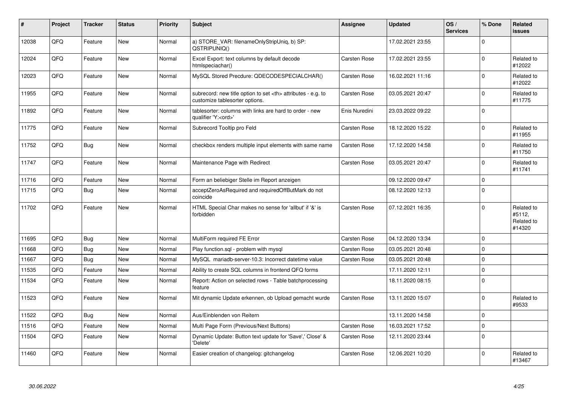| #     | Project | <b>Tracker</b> | <b>Status</b> | <b>Priority</b> | <b>Subject</b>                                                                                       | Assignee                                               | <b>Updated</b>   | OS/<br><b>Services</b> | % Done       | <b>Related</b><br><b>issues</b>              |                      |
|-------|---------|----------------|---------------|-----------------|------------------------------------------------------------------------------------------------------|--------------------------------------------------------|------------------|------------------------|--------------|----------------------------------------------|----------------------|
| 12038 | QFQ     | Feature        | <b>New</b>    | Normal          | a) STORE_VAR: filenameOnlyStripUniq, b) SP:<br>QSTRIPUNIQ()                                          |                                                        | 17.02.2021 23:55 |                        | $\Omega$     |                                              |                      |
| 12024 | QFQ     | Feature        | <b>New</b>    | Normal          | Excel Export: text columns by default decode<br>htmlspeciachar()                                     | Carsten Rose                                           | 17.02.2021 23:55 |                        | $\Omega$     | Related to<br>#12022                         |                      |
| 12023 | QFQ     | Feature        | <b>New</b>    | Normal          | MySQL Stored Precdure: QDECODESPECIALCHAR()                                                          | Carsten Rose                                           | 16.02.2021 11:16 |                        | $\mathbf 0$  | Related to<br>#12022                         |                      |
| 11955 | QFQ     | Feature        | <b>New</b>    | Normal          | subrecord: new title option to set <th> attributes - e.g. to<br/>customize tablesorter options.</th> | attributes - e.g. to<br>customize tablesorter options. | Carsten Rose     | 03.05.2021 20:47       |              | $\Omega$                                     | Related to<br>#11775 |
| 11892 | QFQ     | Feature        | New           | Normal          | tablesorter: columns with links are hard to order - new<br>qualifier 'Y: <ord>'</ord>                | Enis Nuredini                                          | 23.03.2022 09:22 |                        | $\mathbf 0$  |                                              |                      |
| 11775 | QFQ     | Feature        | New           | Normal          | Subrecord Tooltip pro Feld                                                                           | Carsten Rose                                           | 18.12.2020 15:22 |                        | $\mathbf 0$  | Related to<br>#11955                         |                      |
| 11752 | QFQ     | <b>Bug</b>     | <b>New</b>    | Normal          | checkbox renders multiple input elements with same name                                              | Carsten Rose                                           | 17.12.2020 14:58 |                        | $\Omega$     | Related to<br>#11750                         |                      |
| 11747 | QFQ     | Feature        | <b>New</b>    | Normal          | Maintenance Page with Redirect                                                                       | Carsten Rose                                           | 03.05.2021 20:47 |                        | $\mathbf 0$  | Related to<br>#11741                         |                      |
| 11716 | QFQ     | Feature        | <b>New</b>    | Normal          | Form an beliebiger Stelle im Report anzeigen                                                         |                                                        | 09.12.2020 09:47 |                        | $\Omega$     |                                              |                      |
| 11715 | QFQ     | <b>Bug</b>     | <b>New</b>    | Normal          | acceptZeroAsRequired and requiredOffButMark do not<br>coincide                                       |                                                        | 08.12.2020 12:13 |                        | $\mathbf{0}$ |                                              |                      |
| 11702 | QFQ     | Feature        | New           | Normal          | HTML Special Char makes no sense for 'allbut' if '&' is<br>forbidden                                 | Carsten Rose                                           | 07.12.2021 16:35 |                        | $\mathbf{0}$ | Related to<br>#5112,<br>Related to<br>#14320 |                      |
| 11695 | QFQ     | Bug            | <b>New</b>    | Normal          | MultiForm required FE Error                                                                          | Carsten Rose                                           | 04.12.2020 13:34 |                        | $\mathbf 0$  |                                              |                      |
| 11668 | QFQ     | <b>Bug</b>     | <b>New</b>    | Normal          | Play function.sql - problem with mysql                                                               | Carsten Rose                                           | 03.05.2021 20:48 |                        | $\Omega$     |                                              |                      |
| 11667 | QFQ     | Bug            | <b>New</b>    | Normal          | MySQL mariadb-server-10.3: Incorrect datetime value                                                  | Carsten Rose                                           | 03.05.2021 20:48 |                        | $\mathbf 0$  |                                              |                      |
| 11535 | QFQ     | Feature        | <b>New</b>    | Normal          | Ability to create SQL columns in frontend QFQ forms                                                  |                                                        | 17.11.2020 12:11 |                        | $\mathbf 0$  |                                              |                      |
| 11534 | QFQ     | Feature        | New           | Normal          | Report: Action on selected rows - Table batchprocessing<br>feature                                   |                                                        | 18.11.2020 08:15 |                        | $\Omega$     |                                              |                      |
| 11523 | QFQ     | Feature        | <b>New</b>    | Normal          | Mit dynamic Update erkennen, ob Upload gemacht wurde                                                 | Carsten Rose                                           | 13.11.2020 15:07 |                        | $\Omega$     | Related to<br>#9533                          |                      |
| 11522 | QFQ     | Bug            | <b>New</b>    | Normal          | Aus/Einblenden von Reitern                                                                           |                                                        | 13.11.2020 14:58 |                        | $\Omega$     |                                              |                      |
| 11516 | QFQ     | Feature        | <b>New</b>    | Normal          | Multi Page Form (Previous/Next Buttons)                                                              | Carsten Rose                                           | 16.03.2021 17:52 |                        | $\mathbf 0$  |                                              |                      |
| 11504 | QFQ     | Feature        | New           | Normal          | Dynamic Update: Button text update for 'Save',' Close' &<br>'Delete'                                 | Carsten Rose                                           | 12.11.2020 23:44 |                        | $\Omega$     |                                              |                      |
| 11460 | QFQ     | Feature        | <b>New</b>    | Normal          | Easier creation of changelog: gitchangelog                                                           | Carsten Rose                                           | 12.06.2021 10:20 |                        | $\Omega$     | Related to<br>#13467                         |                      |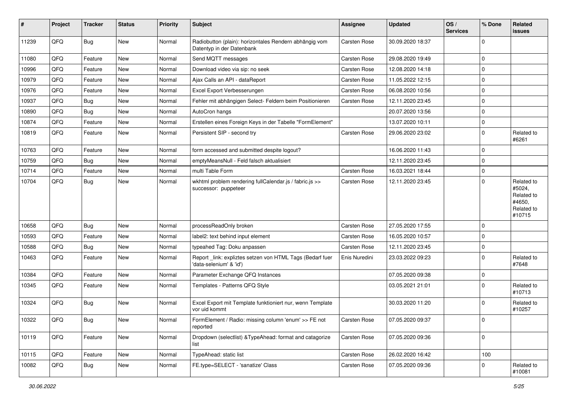| #     | Project | <b>Tracker</b> | <b>Status</b> | <b>Priority</b> | <b>Subject</b>                                                                       | <b>Assignee</b> | <b>Updated</b>   | OS/<br><b>Services</b> | % Done      | Related<br>issues                                                    |
|-------|---------|----------------|---------------|-----------------|--------------------------------------------------------------------------------------|-----------------|------------------|------------------------|-------------|----------------------------------------------------------------------|
| 11239 | QFQ     | Bug            | <b>New</b>    | Normal          | Radiobutton (plain): horizontales Rendern abhängig vom<br>Datentyp in der Datenbank  | Carsten Rose    | 30.09.2020 18:37 |                        | $\Omega$    |                                                                      |
| 11080 | QFQ     | Feature        | <b>New</b>    | Normal          | Send MQTT messages                                                                   | Carsten Rose    | 29.08.2020 19:49 |                        | $\mathbf 0$ |                                                                      |
| 10996 | QFQ     | Feature        | <b>New</b>    | Normal          | Download video via sip: no seek                                                      | Carsten Rose    | 12.08.2020 14:18 |                        | $\mathbf 0$ |                                                                      |
| 10979 | QFQ     | Feature        | <b>New</b>    | Normal          | Ajax Calls an API - dataReport                                                       | Carsten Rose    | 11.05.2022 12:15 |                        | $\mathbf 0$ |                                                                      |
| 10976 | QFQ     | Feature        | <b>New</b>    | Normal          | Excel Export Verbesserungen                                                          | Carsten Rose    | 06.08.2020 10:56 |                        | $\mathbf 0$ |                                                                      |
| 10937 | QFQ     | <b>Bug</b>     | New           | Normal          | Fehler mit abhängigen Select- Feldern beim Positionieren                             | Carsten Rose    | 12.11.2020 23:45 |                        | $\mathbf 0$ |                                                                      |
| 10890 | QFQ     | <b>Bug</b>     | <b>New</b>    | Normal          | AutoCron hangs                                                                       |                 | 20.07.2020 13:56 |                        | $\mathbf 0$ |                                                                      |
| 10874 | QFQ     | Feature        | <b>New</b>    | Normal          | Erstellen eines Foreign Keys in der Tabelle "FormElement"                            |                 | 13.07.2020 10:11 |                        | $\mathbf 0$ |                                                                      |
| 10819 | QFQ     | Feature        | <b>New</b>    | Normal          | Persistent SIP - second try                                                          | Carsten Rose    | 29.06.2020 23:02 |                        | $\mathbf 0$ | Related to<br>#6261                                                  |
| 10763 | QFQ     | Feature        | <b>New</b>    | Normal          | form accessed and submitted despite logout?                                          |                 | 16.06.2020 11:43 |                        | $\mathbf 0$ |                                                                      |
| 10759 | QFQ     | Bug            | <b>New</b>    | Normal          | emptyMeansNull - Feld falsch aktualisiert                                            |                 | 12.11.2020 23:45 |                        | $\mathbf 0$ |                                                                      |
| 10714 | QFQ     | Feature        | <b>New</b>    | Normal          | multi Table Form                                                                     | Carsten Rose    | 16.03.2021 18:44 |                        | $\mathbf 0$ |                                                                      |
| 10704 | QFQ     | Bug            | New           | Normal          | wkhtml problem rendering fullCalendar.js / fabric.js >><br>successor: puppeteer      | Carsten Rose    | 12.11.2020 23:45 |                        | $\Omega$    | Related to<br>#5024,<br>Related to<br>#4650,<br>Related to<br>#10715 |
| 10658 | QFQ     | Bug            | <b>New</b>    | Normal          | processReadOnly broken                                                               | Carsten Rose    | 27.05.2020 17:55 |                        | $\mathbf 0$ |                                                                      |
| 10593 | QFQ     | Feature        | <b>New</b>    | Normal          | label2: text behind input element                                                    | Carsten Rose    | 16.05.2020 10:57 |                        | $\mathbf 0$ |                                                                      |
| 10588 | QFQ     | Bug            | <b>New</b>    | Normal          | typeahed Tag: Doku anpassen                                                          | Carsten Rose    | 12.11.2020 23:45 |                        | $\mathbf 0$ |                                                                      |
| 10463 | QFQ     | Feature        | New           | Normal          | Report _link: expliztes setzen von HTML Tags (Bedarf fuer<br>'data-selenium' & 'id') | Enis Nuredini   | 23.03.2022 09:23 |                        | $\Omega$    | Related to<br>#7648                                                  |
| 10384 | QFQ     | Feature        | <b>New</b>    | Normal          | Parameter Exchange QFQ Instances                                                     |                 | 07.05.2020 09:38 |                        | 0           |                                                                      |
| 10345 | QFQ     | Feature        | New           | Normal          | Templates - Patterns QFQ Style                                                       |                 | 03.05.2021 21:01 |                        | $\mathbf 0$ | Related to<br>#10713                                                 |
| 10324 | QFQ     | Bug            | <b>New</b>    | Normal          | Excel Export mit Template funktioniert nur, wenn Template<br>vor uid kommt           |                 | 30.03.2020 11:20 |                        | $\Omega$    | Related to<br>#10257                                                 |
| 10322 | QFQ     | Bug            | New           | Normal          | FormElement / Radio: missing column 'enum' >> FE not<br>reported                     | Carsten Rose    | 07.05.2020 09:37 |                        | $\Omega$    |                                                                      |
| 10119 | QFQ     | Feature        | New           | Normal          | Dropdown (selectlist) & TypeAhead: format and catagorize<br>list                     | Carsten Rose    | 07.05.2020 09:36 |                        | $\mathbf 0$ |                                                                      |
| 10115 | QFQ     | Feature        | New           | Normal          | TypeAhead: static list                                                               | Carsten Rose    | 26.02.2020 16:42 |                        | 100         |                                                                      |
| 10082 | QFQ     | <b>Bug</b>     | New           | Normal          | FE.type=SELECT - 'sanatize' Class                                                    | Carsten Rose    | 07.05.2020 09:36 |                        | $\mathbf 0$ | Related to<br>#10081                                                 |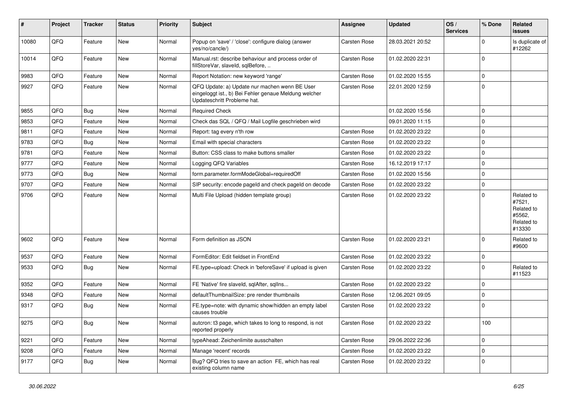| ∦     | Project | <b>Tracker</b> | <b>Status</b> | <b>Priority</b> | Subject                                                                                                                               | <b>Assignee</b> | <b>Updated</b>   | OS/<br><b>Services</b> | % Done      | Related<br>issues                                                    |
|-------|---------|----------------|---------------|-----------------|---------------------------------------------------------------------------------------------------------------------------------------|-----------------|------------------|------------------------|-------------|----------------------------------------------------------------------|
| 10080 | QFQ     | Feature        | <b>New</b>    | Normal          | Popup on 'save' / 'close': configure dialog (answer<br>yes/no/cancle/)                                                                | Carsten Rose    | 28.03.2021 20:52 |                        | $\Omega$    | Is duplicate of<br>#12262                                            |
| 10014 | QFQ     | Feature        | New           | Normal          | Manual.rst: describe behaviour and process order of<br>fillStoreVar, slaveId, sqlBefore,                                              | Carsten Rose    | 01.02.2020 22:31 |                        | $\mathbf 0$ |                                                                      |
| 9983  | QFQ     | Feature        | New           | Normal          | Report Notation: new keyword 'range'                                                                                                  | Carsten Rose    | 01.02.2020 15:55 |                        | $\mathbf 0$ |                                                                      |
| 9927  | QFQ     | Feature        | New           | Normal          | QFQ Update: a) Update nur machen wenn BE User<br>eingeloggt ist., b) Bei Fehler genaue Meldung welcher<br>Updateschritt Probleme hat. | Carsten Rose    | 22.01.2020 12:59 |                        | $\Omega$    |                                                                      |
| 9855  | QFQ     | <b>Bug</b>     | <b>New</b>    | Normal          | <b>Required Check</b>                                                                                                                 |                 | 01.02.2020 15:56 |                        | $\mathbf 0$ |                                                                      |
| 9853  | QFQ     | Feature        | New           | Normal          | Check das SQL / QFQ / Mail Logfile geschrieben wird                                                                                   |                 | 09.01.2020 11:15 |                        | $\mathbf 0$ |                                                                      |
| 9811  | QFQ     | Feature        | New           | Normal          | Report: tag every n'th row                                                                                                            | Carsten Rose    | 01.02.2020 23:22 |                        | $\mathbf 0$ |                                                                      |
| 9783  | QFQ     | <b>Bug</b>     | <b>New</b>    | Normal          | Email with special characters                                                                                                         | Carsten Rose    | 01.02.2020 23:22 |                        | $\mathbf 0$ |                                                                      |
| 9781  | QFQ     | Feature        | New           | Normal          | Button: CSS class to make buttons smaller                                                                                             | Carsten Rose    | 01.02.2020 23:22 |                        | $\mathbf 0$ |                                                                      |
| 9777  | QFQ     | Feature        | New           | Normal          | Logging QFQ Variables                                                                                                                 | Carsten Rose    | 16.12.2019 17:17 |                        | $\Omega$    |                                                                      |
| 9773  | QFQ     | <b>Bug</b>     | New           | Normal          | form.parameter.formModeGlobal=requiredOff                                                                                             | Carsten Rose    | 01.02.2020 15:56 |                        | $\mathbf 0$ |                                                                      |
| 9707  | QFQ     | Feature        | New           | Normal          | SIP security: encode pageld and check pageld on decode                                                                                | Carsten Rose    | 01.02.2020 23:22 |                        | $\mathbf 0$ |                                                                      |
| 9706  | QFQ     | Feature        | New           | Normal          | Multi File Upload (hidden template group)                                                                                             | Carsten Rose    | 01.02.2020 23:22 |                        | $\Omega$    | Related to<br>#7521,<br>Related to<br>#5562.<br>Related to<br>#13330 |
| 9602  | QFQ     | Feature        | <b>New</b>    | Normal          | Form definition as JSON                                                                                                               | Carsten Rose    | 01.02.2020 23:21 |                        | $\mathbf 0$ | Related to<br>#9600                                                  |
| 9537  | QFQ     | Feature        | New           | Normal          | FormEditor: Edit fieldset in FrontEnd                                                                                                 | Carsten Rose    | 01.02.2020 23:22 |                        | $\mathbf 0$ |                                                                      |
| 9533  | QFQ     | <b>Bug</b>     | New           | Normal          | FE.type=upload: Check in 'beforeSave' if upload is given                                                                              | Carsten Rose    | 01.02.2020 23:22 |                        | $\mathbf 0$ | Related to<br>#11523                                                 |
| 9352  | QFQ     | Feature        | <b>New</b>    | Normal          | FE 'Native' fire slaveld, sqlAfter, sqlIns                                                                                            | Carsten Rose    | 01.02.2020 23:22 |                        | $\mathbf 0$ |                                                                      |
| 9348  | QFQ     | Feature        | New           | Normal          | defaultThumbnailSize: pre render thumbnails                                                                                           | Carsten Rose    | 12.06.2021 09:05 |                        | $\mathbf 0$ |                                                                      |
| 9317  | QFQ     | Bug            | New           | Normal          | FE.type=note: with dynamic show/hidden an empty label<br>causes trouble                                                               | Carsten Rose    | 01.02.2020 23:22 |                        | $\mathbf 0$ |                                                                      |
| 9275  | QFQ     | <b>Bug</b>     | New           | Normal          | autcron: t3 page, which takes to long to respond, is not<br>reported properly                                                         | Carsten Rose    | 01.02.2020 23:22 |                        | 100         |                                                                      |
| 9221  | QFQ     | Feature        | New           | Normal          | typeAhead: Zeichenlimite ausschalten                                                                                                  | Carsten Rose    | 29.06.2022 22:36 |                        | $\mathbf 0$ |                                                                      |
| 9208  | QFQ     | Feature        | New           | Normal          | Manage 'recent' records                                                                                                               | Carsten Rose    | 01.02.2020 23:22 |                        | 0           |                                                                      |
| 9177  | QFQ     | <b>Bug</b>     | New           | Normal          | Bug? QFQ tries to save an action FE, which has real<br>existing column name                                                           | Carsten Rose    | 01.02.2020 23:22 |                        | $\mathbf 0$ |                                                                      |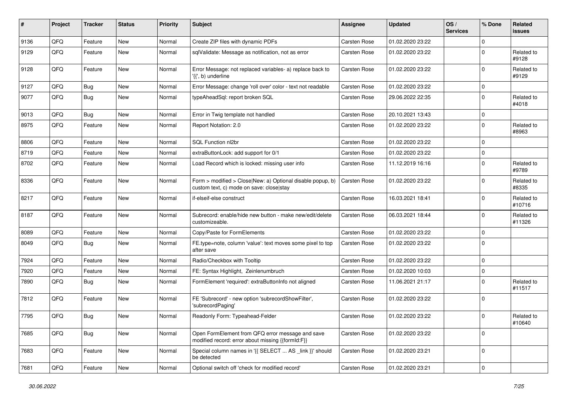| #    | Project        | <b>Tracker</b> | <b>Status</b> | <b>Priority</b> | <b>Subject</b>                                                                                         | Assignee            | <b>Updated</b>   | OS/<br><b>Services</b> | % Done      | Related<br>issues    |
|------|----------------|----------------|---------------|-----------------|--------------------------------------------------------------------------------------------------------|---------------------|------------------|------------------------|-------------|----------------------|
| 9136 | QFQ            | Feature        | New           | Normal          | Create ZIP files with dynamic PDFs                                                                     | Carsten Rose        | 01.02.2020 23:22 |                        | $\mathbf 0$ |                      |
| 9129 | QFQ            | Feature        | <b>New</b>    | Normal          | sqlValidate: Message as notification, not as error                                                     | Carsten Rose        | 01.02.2020 23:22 |                        | $\mathbf 0$ | Related to<br>#9128  |
| 9128 | QFQ            | Feature        | New           | Normal          | Error Message: not replaced variables- a) replace back to<br>'{{', b) underline                        | Carsten Rose        | 01.02.2020 23:22 |                        | $\mathbf 0$ | Related to<br>#9129  |
| 9127 | QFQ            | Bug            | <b>New</b>    | Normal          | Error Message: change 'roll over' color - text not readable                                            | Carsten Rose        | 01.02.2020 23:22 |                        | $\mathbf 0$ |                      |
| 9077 | QFQ            | <b>Bug</b>     | <b>New</b>    | Normal          | typeAheadSql: report broken SQL                                                                        | <b>Carsten Rose</b> | 29.06.2022 22:35 |                        | $\mathbf 0$ | Related to<br>#4018  |
| 9013 | QFQ            | Bug            | <b>New</b>    | Normal          | Error in Twig template not handled                                                                     | <b>Carsten Rose</b> | 20.10.2021 13:43 |                        | $\mathbf 0$ |                      |
| 8975 | QFQ            | Feature        | <b>New</b>    | Normal          | Report Notation: 2.0                                                                                   | Carsten Rose        | 01.02.2020 23:22 |                        | $\mathbf 0$ | Related to<br>#8963  |
| 8806 | QFQ            | Feature        | New           | Normal          | SQL Function nl2br                                                                                     | Carsten Rose        | 01.02.2020 23:22 |                        | $\mathbf 0$ |                      |
| 8719 | QFQ            | Feature        | <b>New</b>    | Normal          | extraButtonLock: add support for 0/1                                                                   | Carsten Rose        | 01.02.2020 23:22 |                        | 0           |                      |
| 8702 | QFQ            | Feature        | New           | Normal          | Load Record which is locked: missing user info                                                         | <b>Carsten Rose</b> | 11.12.2019 16:16 |                        | $\Omega$    | Related to<br>#9789  |
| 8336 | QFQ            | Feature        | <b>New</b>    | Normal          | Form > modified > Close New: a) Optional disable popup, b)<br>custom text, c) mode on save: close stay | Carsten Rose        | 01.02.2020 23:22 |                        | $\mathbf 0$ | Related to<br>#8335  |
| 8217 | QFQ            | Feature        | <b>New</b>    | Normal          | if-elseif-else construct                                                                               | Carsten Rose        | 16.03.2021 18:41 |                        | $\mathbf 0$ | Related to<br>#10716 |
| 8187 | QFQ            | Feature        | <b>New</b>    | Normal          | Subrecord: enable/hide new button - make new/edit/delete<br>customizeable.                             | Carsten Rose        | 06.03.2021 18:44 |                        | $\mathbf 0$ | Related to<br>#11326 |
| 8089 | QFQ            | Feature        | <b>New</b>    | Normal          | Copy/Paste for FormElements                                                                            | Carsten Rose        | 01.02.2020 23:22 |                        | 0           |                      |
| 8049 | QFQ            | Bug            | New           | Normal          | FE.type=note, column 'value': text moves some pixel to top<br>after save                               | <b>Carsten Rose</b> | 01.02.2020 23:22 |                        | $\Omega$    |                      |
| 7924 | QFQ            | Feature        | <b>New</b>    | Normal          | Radio/Checkbox with Tooltip                                                                            | Carsten Rose        | 01.02.2020 23:22 |                        | 0           |                      |
| 7920 | QFQ            | Feature        | <b>New</b>    | Normal          | FE: Syntax Highlight, Zeinlenumbruch                                                                   | Carsten Rose        | 01.02.2020 10:03 |                        | 0           |                      |
| 7890 | QFQ            | Bug            | <b>New</b>    | Normal          | FormElement 'required': extraButtonInfo not aligned                                                    | Carsten Rose        | 11.06.2021 21:17 |                        | $\mathbf 0$ | Related to<br>#11517 |
| 7812 | QFQ            | Feature        | <b>New</b>    | Normal          | FE 'Subrecord' - new option 'subrecordShowFilter',<br>'subrecordPaging'                                | <b>Carsten Rose</b> | 01.02.2020 23:22 |                        | $\mathbf 0$ |                      |
| 7795 | QFQ            | <b>Bug</b>     | <b>New</b>    | Normal          | Readonly Form: Typeahead-Felder                                                                        | Carsten Rose        | 01.02.2020 23:22 |                        | $\mathbf 0$ | Related to<br>#10640 |
| 7685 | QFQ            | <b>Bug</b>     | <b>New</b>    | Normal          | Open FormElement from QFQ error message and save<br>modified record: error about missing {{formId:F}}  | Carsten Rose        | 01.02.2020 23:22 |                        | 0           |                      |
| 7683 | QFQ            | Feature        | New           | Normal          | Special column names in '{{ SELECT  AS _link }}' should<br>be detected                                 | Carsten Rose        | 01.02.2020 23:21 |                        | $\mathbf 0$ |                      |
| 7681 | $\mathsf{QFQ}$ | Feature        | New           | Normal          | Optional switch off 'check for modified record'                                                        | Carsten Rose        | 01.02.2020 23:21 |                        | $\pmb{0}$   |                      |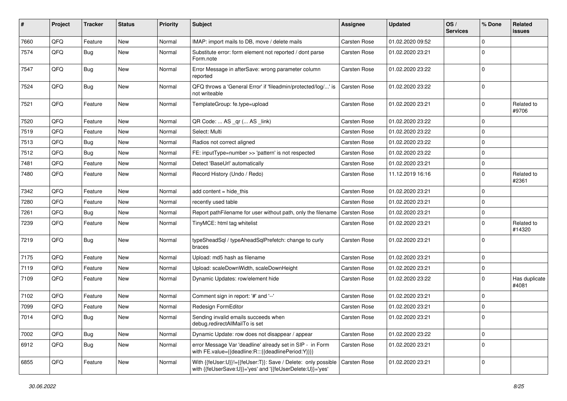| #    | Project | <b>Tracker</b> | <b>Status</b> | <b>Priority</b> | <b>Subject</b>                                                                                                             | <b>Assignee</b> | <b>Updated</b>   | OS/<br><b>Services</b> | % Done      | Related<br>issues      |
|------|---------|----------------|---------------|-----------------|----------------------------------------------------------------------------------------------------------------------------|-----------------|------------------|------------------------|-------------|------------------------|
| 7660 | QFQ     | Feature        | <b>New</b>    | Normal          | IMAP: import mails to DB, move / delete mails                                                                              | Carsten Rose    | 01.02.2020 09:52 |                        | $\mathbf 0$ |                        |
| 7574 | QFQ     | <b>Bug</b>     | New           | Normal          | Substitute error: form element not reported / dont parse<br>Form.note                                                      | Carsten Rose    | 01.02.2020 23:21 |                        | $\Omega$    |                        |
| 7547 | QFQ     | Bug            | <b>New</b>    | Normal          | Error Message in afterSave: wrong parameter column<br>reported                                                             | Carsten Rose    | 01.02.2020 23:22 |                        | $\mathbf 0$ |                        |
| 7524 | QFQ     | Bug            | <b>New</b>    | Normal          | QFQ throws a 'General Error' if 'fileadmin/protected/log/' is<br>not writeable                                             | Carsten Rose    | 01.02.2020 23:22 |                        | $\mathbf 0$ |                        |
| 7521 | QFQ     | Feature        | New           | Normal          | TemplateGroup: fe.type=upload                                                                                              | Carsten Rose    | 01.02.2020 23:21 |                        | $\Omega$    | Related to<br>#9706    |
| 7520 | QFQ     | Feature        | <b>New</b>    | Normal          | QR Code:  AS _qr ( AS _link)                                                                                               | Carsten Rose    | 01.02.2020 23:22 |                        | $\mathbf 0$ |                        |
| 7519 | QFQ     | Feature        | New           | Normal          | Select: Multi                                                                                                              | Carsten Rose    | 01.02.2020 23:22 |                        | $\Omega$    |                        |
| 7513 | QFQ     | <b>Bug</b>     | <b>New</b>    | Normal          | Radios not correct aligned                                                                                                 | Carsten Rose    | 01.02.2020 23:22 |                        | $\mathbf 0$ |                        |
| 7512 | QFQ     | <b>Bug</b>     | <b>New</b>    | Normal          | FE: inputType=number >> 'pattern' is not respected                                                                         | Carsten Rose    | 01.02.2020 23:22 |                        | $\mathbf 0$ |                        |
| 7481 | QFQ     | Feature        | New           | Normal          | Detect 'BaseUrl' automatically                                                                                             | Carsten Rose    | 01.02.2020 23:21 |                        | $\mathbf 0$ |                        |
| 7480 | QFQ     | Feature        | New           | Normal          | Record History (Undo / Redo)                                                                                               | Carsten Rose    | 11.12.2019 16:16 |                        | 0           | Related to<br>#2361    |
| 7342 | QFQ     | Feature        | <b>New</b>    | Normal          | add content $=$ hide this                                                                                                  | Carsten Rose    | 01.02.2020 23:21 |                        | $\mathbf 0$ |                        |
| 7280 | QFQ     | Feature        | New           | Normal          | recently used table                                                                                                        | Carsten Rose    | 01.02.2020 23:21 |                        | $\mathbf 0$ |                        |
| 7261 | QFQ     | <b>Bug</b>     | New           | Normal          | Report pathFilename for user without path, only the filename                                                               | Carsten Rose    | 01.02.2020 23:21 |                        | 0           |                        |
| 7239 | QFQ     | Feature        | <b>New</b>    | Normal          | TinyMCE: html tag whitelist                                                                                                | Carsten Rose    | 01.02.2020 23:21 |                        | $\Omega$    | Related to<br>#14320   |
| 7219 | QFQ     | <b>Bug</b>     | New           | Normal          | typeSheadSql / typeAheadSqlPrefetch: change to curly<br>braces                                                             | Carsten Rose    | 01.02.2020 23:21 |                        | $\mathbf 0$ |                        |
| 7175 | QFQ     | Feature        | <b>New</b>    | Normal          | Upload: md5 hash as filename                                                                                               | Carsten Rose    | 01.02.2020 23:21 |                        | $\Omega$    |                        |
| 7119 | QFQ     | Feature        | New           | Normal          | Upload: scaleDownWidth, scaleDownHeight                                                                                    | Carsten Rose    | 01.02.2020 23:21 |                        | $\mathbf 0$ |                        |
| 7109 | QFQ     | Feature        | <b>New</b>    | Normal          | Dynamic Updates: row/element hide                                                                                          | Carsten Rose    | 01.02.2020 23:22 |                        | $\Omega$    | Has duplicate<br>#4081 |
| 7102 | QFQ     | Feature        | <b>New</b>    | Normal          | Comment sign in report: '#' and '--'                                                                                       | Carsten Rose    | 01.02.2020 23:21 |                        | $\mathbf 0$ |                        |
| 7099 | QFQ     | Feature        | New           | Normal          | Redesign FormEditor                                                                                                        | Carsten Rose    | 01.02.2020 23:21 |                        | $\mathbf 0$ |                        |
| 7014 | QFQ     | <b>Bug</b>     | New           | Normal          | Sending invalid emails succeeds when<br>debug.redirectAllMailTo is set                                                     | Carsten Rose    | 01.02.2020 23:21 |                        | $\mathbf 0$ |                        |
| 7002 | QFQ     | <b>Bug</b>     | New           | Normal          | Dynamic Update: row does not disappear / appear                                                                            | Carsten Rose    | 01.02.2020 23:22 |                        | $\pmb{0}$   |                        |
| 6912 | QFQ     | <b>Bug</b>     | New           | Normal          | error Message Var 'deadline' already set in SIP - in Form<br>with FE.value={{deadline:R:::{{deadlinePeriod:Y}}}}           | Carsten Rose    | 01.02.2020 23:21 |                        | $\Omega$    |                        |
| 6855 | QFQ     | Feature        | New           | Normal          | With {{feUser:U}}!={{feUser:T}}: Save / Delete: only possible<br>with {{feUserSave:U}}='yes' and '{{feUserDelete:U}}='yes' | Carsten Rose    | 01.02.2020 23:21 |                        | $\mathbf 0$ |                        |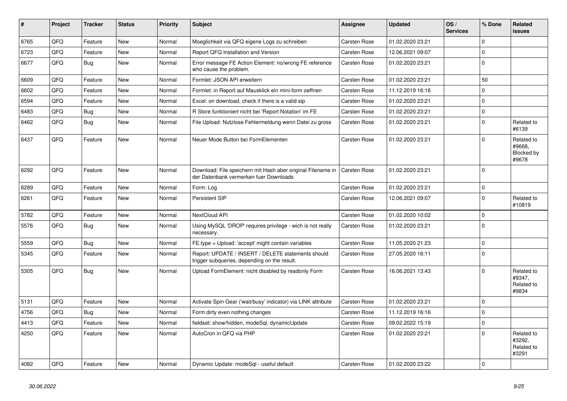| #    | Project | <b>Tracker</b> | <b>Status</b> | <b>Priority</b> | <b>Subject</b>                                                                                        | <b>Assignee</b>     | <b>Updated</b>   | OS/<br><b>Services</b> | % Done       | <b>Related</b><br><b>issues</b>             |
|------|---------|----------------|---------------|-----------------|-------------------------------------------------------------------------------------------------------|---------------------|------------------|------------------------|--------------|---------------------------------------------|
| 6765 | QFQ     | Feature        | <b>New</b>    | Normal          | Moeglichkeit via QFQ eigene Logs zu schreiben                                                         | <b>Carsten Rose</b> | 01.02.2020 23:21 |                        | 0            |                                             |
| 6723 | QFQ     | Feature        | New           | Normal          | Report QFQ Installation and Version                                                                   | Carsten Rose        | 12.06.2021 09:07 |                        | <sup>0</sup> |                                             |
| 6677 | QFQ     | Bug            | <b>New</b>    | Normal          | Error message FE Action Element: no/wrong FE reference<br>who cause the problem.                      | <b>Carsten Rose</b> | 01.02.2020 23:21 |                        | $\mathbf 0$  |                                             |
| 6609 | QFQ     | Feature        | <b>New</b>    | Normal          | Formlet: JSON API erweitern                                                                           | Carsten Rose        | 01.02.2020 23:21 |                        | 50           |                                             |
| 6602 | QFQ     | Feature        | <b>New</b>    | Normal          | Formlet: in Report auf Mausklick ein mini-form oeffnen                                                | <b>Carsten Rose</b> | 11.12.2019 16:16 |                        | 0            |                                             |
| 6594 | QFQ     | Feature        | <b>New</b>    | Normal          | Excel: on download, check if there is a valid sip                                                     | <b>Carsten Rose</b> | 01.02.2020 23:21 |                        | $\Omega$     |                                             |
| 6483 | QFQ     | <b>Bug</b>     | <b>New</b>    | Normal          | R Store funktioniert nicht bei 'Report Notation' im FE                                                | Carsten Rose        | 01.02.2020 23:21 |                        | $\mathbf 0$  |                                             |
| 6462 | QFQ     | <b>Bug</b>     | New           | Normal          | File Upload: Nutzlose Fehlermeldung wenn Datei zu gross                                               | <b>Carsten Rose</b> | 01.02.2020 23:21 |                        | $\Omega$     | Related to<br>#6139                         |
| 6437 | QFQ     | Feature        | <b>New</b>    | Normal          | Neuer Mode Button bei FormElementen                                                                   | Carsten Rose        | 01.02.2020 23:21 |                        | 0            | Related to<br>#9668.<br>Blocked by<br>#9678 |
| 6292 | QFQ     | Feature        | <b>New</b>    | Normal          | Download: File speichern mit Hash aber original Filename in<br>der Datenbank vermerken fuer Downloads | Carsten Rose        | 01.02.2020 23:21 |                        | $\Omega$     |                                             |
| 6289 | QFQ     | Feature        | <b>New</b>    | Normal          | Form: Log                                                                                             | Carsten Rose        | 01.02.2020 23:21 |                        | 0            |                                             |
| 6261 | QFQ     | Feature        | <b>New</b>    | Normal          | Persistent SIP                                                                                        | Carsten Rose        | 12.06.2021 09:07 |                        | $\mathbf 0$  | Related to<br>#10819                        |
| 5782 | QFQ     | Feature        | <b>New</b>    | Normal          | NextCloud API                                                                                         | Carsten Rose        | 01.02.2020 10:02 |                        | 0            |                                             |
| 5576 | QFQ     | Bug            | <b>New</b>    | Normal          | Using MySQL 'DROP' requires privilege - wich is not really<br>necessary.                              | <b>Carsten Rose</b> | 01.02.2020 23:21 |                        | 0            |                                             |
| 5559 | QFQ     | Bug            | <b>New</b>    | Normal          | FE.type = Upload: 'accept' might contain variables                                                    | Carsten Rose        | 11.05.2020 21:23 |                        | 0            |                                             |
| 5345 | QFQ     | Feature        | <b>New</b>    | Normal          | Report: UPDATE / INSERT / DELETE statements should<br>trigger subqueries, depending on the result.    | Carsten Rose        | 27.05.2020 16:11 |                        | $\mathbf 0$  |                                             |
| 5305 | QFQ     | <b>Bug</b>     | <b>New</b>    | Normal          | Upload FormElement: nicht disabled by readonly Form                                                   | <b>Carsten Rose</b> | 16.06.2021 13:43 |                        | 0            | Related to<br>#9347,<br>Related to<br>#9834 |
| 5131 | QFQ     | Feature        | <b>New</b>    | Normal          | Activate Spin Gear ('wait/busy' indicator) via LINK attribute                                         | <b>Carsten Rose</b> | 01.02.2020 23:21 |                        | 0            |                                             |
| 4756 | QFQ     | Bug            | <b>New</b>    | Normal          | Form dirty even nothing changes                                                                       | Carsten Rose        | 11.12.2019 16:16 |                        | 0            |                                             |
| 4413 | QFQ     | Feature        | <b>New</b>    | Normal          | fieldset: show/hidden, modeSql, dynamicUpdate                                                         | Carsten Rose        | 09.02.2022 15:19 |                        | 0            |                                             |
| 4250 | QFQ     | Feature        | <b>New</b>    | Normal          | AutoCron in QFQ via PHP                                                                               | <b>Carsten Rose</b> | 01.02.2020 23:21 |                        | $\Omega$     | Related to<br>#3292,<br>Related to<br>#3291 |
| 4082 | QFQ     | Feature        | <b>New</b>    | Normal          | Dynamic Update: modeSql - useful default                                                              | <b>Carsten Rose</b> | 01.02.2020 23:22 |                        | $\Omega$     |                                             |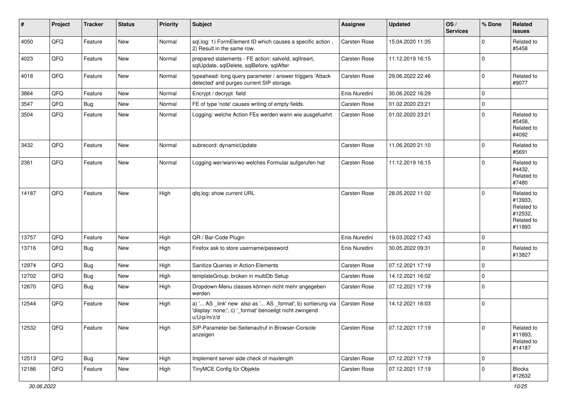| #     | Project | <b>Tracker</b> | <b>Status</b> | <b>Priority</b> | <b>Subject</b>                                                                                                                        | Assignee            | <b>Updated</b>   | OS/<br><b>Services</b> | % Done      | Related<br><b>issues</b>                                               |
|-------|---------|----------------|---------------|-----------------|---------------------------------------------------------------------------------------------------------------------------------------|---------------------|------------------|------------------------|-------------|------------------------------------------------------------------------|
| 4050  | QFQ     | Feature        | New           | Normal          | sql.log: 1) FormElement ID which causes a specific action,<br>2) Result in the same row.                                              | Carsten Rose        | 15.04.2020 11:35 |                        | $\Omega$    | Related to<br>#5458                                                    |
| 4023  | QFQ     | Feature        | <b>New</b>    | Normal          | prepared statements - FE action: salveld, sqllnsert,<br>sqlUpdate, sqlDelete, sqlBefore, sqlAfter                                     | <b>Carsten Rose</b> | 11.12.2019 16:15 |                        | $\mathbf 0$ |                                                                        |
| 4018  | QFQ     | Feature        | New           | Normal          | typeahead: long query parameter / answer triggers 'Attack<br>detected' and purges current SIP storage.                                | Carsten Rose        | 29.06.2022 22:46 |                        | $\mathbf 0$ | Related to<br>#9077                                                    |
| 3864  | QFQ     | Feature        | New           | Normal          | Encrypt / decrypt field                                                                                                               | Enis Nuredini       | 30.06.2022 16:29 |                        | 0           |                                                                        |
| 3547  | QFQ     | Bug            | <b>New</b>    | Normal          | FE of type 'note' causes writing of empty fields.                                                                                     | Carsten Rose        | 01.02.2020 23:21 |                        | $\mathbf 0$ |                                                                        |
| 3504  | QFQ     | Feature        | New           | Normal          | Logging: welche Action FEs werden wann wie ausgefuehrt                                                                                | Carsten Rose        | 01.02.2020 23:21 |                        | $\mathbf 0$ | Related to<br>#5458.<br>Related to<br>#4092                            |
| 3432  | QFQ     | Feature        | New           | Normal          | subrecord: dynamicUpdate                                                                                                              | Carsten Rose        | 11.06.2020 21:10 |                        | $\mathbf 0$ | Related to<br>#5691                                                    |
| 2361  | QFQ     | Feature        | New           | Normal          | Logging wer/wann/wo welches Formular aufgerufen hat                                                                                   | Carsten Rose        | 11.12.2019 16:15 |                        | $\Omega$    | Related to<br>#4432,<br>Related to<br>#7480                            |
| 14187 | QFQ     | Feature        | New           | High            | qfq.log: show current URL                                                                                                             | Carsten Rose        | 28.05.2022 11:02 |                        | $\Omega$    | Related to<br>#13933,<br>Related to<br>#12532,<br>Related to<br>#11893 |
| 13757 | QFQ     | Feature        | New           | High            | QR / Bar-Code Plugin                                                                                                                  | Enis Nuredini       | 19.03.2022 17:43 |                        | $\mathbf 0$ |                                                                        |
| 13716 | QFQ     | <b>Bug</b>     | New           | High            | Firefox ask to store username/password                                                                                                | Enis Nuredini       | 30.05.2022 09:31 |                        | $\Omega$    | Related to<br>#13827                                                   |
| 12974 | QFQ     | Bug            | <b>New</b>    | High            | Sanitize Queries in Action-Elements                                                                                                   | Carsten Rose        | 07.12.2021 17:19 |                        | 0           |                                                                        |
| 12702 | QFQ     | Bug            | <b>New</b>    | High            | templateGroup: broken in multiDb Setup                                                                                                | Carsten Rose        | 14.12.2021 16:02 |                        | $\mathbf 0$ |                                                                        |
| 12670 | QFQ     | Bug            | New           | High            | Dropdown-Menu classes können nicht mehr angegeben<br>werden                                                                           | Carsten Rose        | 07.12.2021 17:19 |                        | 0           |                                                                        |
| 12544 | QFQ     | Feature        | New           | High            | a) ' AS _link' new also as ' AS _format', b) sortierung via<br>'display: none;', c) '_format' benoeitgt nicht zwingend<br>u/U/p/m/z/d | Carsten Rose        | 14.12.2021 16:03 |                        | $\mathbf 0$ |                                                                        |
| 12532 | QFQ     | Feature        | New           | High            | SIP-Parameter bei Seitenaufruf in Browser-Console<br>anzeigen                                                                         | Carsten Rose        | 07.12.2021 17:19 |                        | $\mathbf 0$ | Related to<br>#11893,<br>Related to<br>#14187                          |
| 12513 | QFQ     | <b>Bug</b>     | New           | High            | Implement server side check of maxlength                                                                                              | Carsten Rose        | 07.12.2021 17:19 |                        | $\mathbf 0$ |                                                                        |
| 12186 | QFQ     | Feature        | New           | High            | TinyMCE Config für Objekte                                                                                                            | Carsten Rose        | 07.12.2021 17:19 |                        | $\mathbf 0$ | <b>Blocks</b><br>#12632                                                |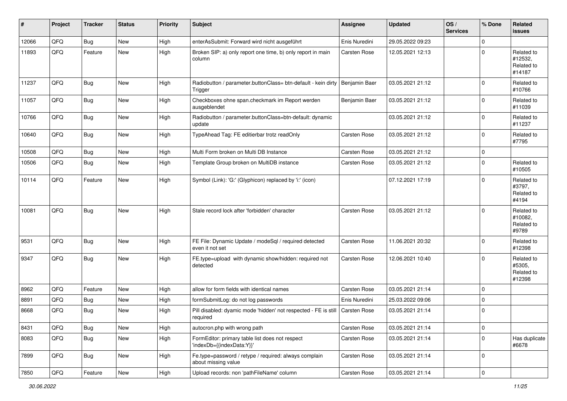| #     | Project | <b>Tracker</b> | <b>Status</b> | <b>Priority</b> | <b>Subject</b>                                                               | <b>Assignee</b> | <b>Updated</b>   | OS/<br><b>Services</b> | % Done      | <b>Related</b><br><b>issues</b>               |
|-------|---------|----------------|---------------|-----------------|------------------------------------------------------------------------------|-----------------|------------------|------------------------|-------------|-----------------------------------------------|
| 12066 | QFQ     | Bug            | <b>New</b>    | High            | enterAsSubmit: Forward wird nicht ausgeführt                                 | Enis Nuredini   | 29.05.2022 09:23 |                        | 0           |                                               |
| 11893 | QFQ     | Feature        | <b>New</b>    | High            | Broken SIP: a) only report one time, b) only report in main<br>column        | Carsten Rose    | 12.05.2021 12:13 |                        | 0           | Related to<br>#12532,<br>Related to<br>#14187 |
| 11237 | QFQ     | <b>Bug</b>     | <b>New</b>    | High            | Radiobutton / parameter.buttonClass= btn-default - kein dirty<br>Trigger     | Benjamin Baer   | 03.05.2021 21:12 |                        | $\Omega$    | Related to<br>#10766                          |
| 11057 | QFQ     | <b>Bug</b>     | <b>New</b>    | High            | Checkboxes ohne span.checkmark im Report werden<br>ausgeblendet              | Benjamin Baer   | 03.05.2021 21:12 |                        | 0           | Related to<br>#11039                          |
| 10766 | QFQ     | <b>Bug</b>     | New           | High            | Radiobutton / parameter.buttonClass=btn-default: dynamic<br>update           |                 | 03.05.2021 21:12 |                        | $\mathbf 0$ | Related to<br>#11237                          |
| 10640 | QFQ     | Bug            | New           | High            | TypeAhead Tag: FE editierbar trotz readOnly                                  | Carsten Rose    | 03.05.2021 21:12 |                        | $\Omega$    | Related to<br>#7795                           |
| 10508 | QFQ     | <b>Bug</b>     | <b>New</b>    | High            | Multi Form broken on Multi DB Instance                                       | Carsten Rose    | 03.05.2021 21:12 |                        | 0           |                                               |
| 10506 | QFQ     | Bug            | <b>New</b>    | High            | Template Group broken on MultiDB instance                                    | Carsten Rose    | 03.05.2021 21:12 |                        | 0           | Related to<br>#10505                          |
| 10114 | QFQ     | Feature        | <b>New</b>    | High            | Symbol (Link): 'G:' (Glyphicon) replaced by 'i:' (icon)                      |                 | 07.12.2021 17:19 |                        | $\Omega$    | Related to<br>#3797,<br>Related to<br>#4194   |
| 10081 | QFQ     | Bug            | <b>New</b>    | High            | Stale record lock after 'forbidden' character                                | Carsten Rose    | 03.05.2021 21:12 |                        | $\Omega$    | Related to<br>#10082,<br>Related to<br>#9789  |
| 9531  | QFQ     | <b>Bug</b>     | <b>New</b>    | High            | FE File: Dynamic Update / modeSql / required detected<br>even it not set     | Carsten Rose    | 11.06.2021 20:32 |                        | 0           | Related to<br>#12398                          |
| 9347  | QFQ     | <b>Bug</b>     | New           | High            | FE.type=upload with dynamic show/hidden: required not<br>detected            | Carsten Rose    | 12.06.2021 10:40 |                        | $\Omega$    | Related to<br>#5305,<br>Related to<br>#12398  |
| 8962  | QFQ     | Feature        | <b>New</b>    | High            | allow for form fields with identical names                                   | Carsten Rose    | 03.05.2021 21:14 |                        | $\Omega$    |                                               |
| 8891  | QFQ     | <b>Bug</b>     | <b>New</b>    | High            | formSubmitLog: do not log passwords                                          | Enis Nuredini   | 25.03.2022 09:06 |                        | 0           |                                               |
| 8668  | QFQ     | <b>Bug</b>     | New           | High            | Pill disabled: dyamic mode 'hidden' not respected - FE is still<br>required  | Carsten Rose    | 03.05.2021 21:14 |                        | $\mathbf 0$ |                                               |
| 8431  | QFQ     | <b>Bug</b>     | New           | High            | autocron.php with wrong path                                                 | Carsten Rose    | 03.05.2021 21:14 |                        | 0           |                                               |
| 8083  | QFQ     | <b>Bug</b>     | New           | High            | FormEditor: primary table list does not respect<br>'indexDb={{indexData:Y}}' | Carsten Rose    | 03.05.2021 21:14 |                        | 0           | Has duplicate<br>#6678                        |
| 7899  | QFQ     | <b>Bug</b>     | New           | High            | Fe.type=password / retype / required: always complain<br>about missing value | Carsten Rose    | 03.05.2021 21:14 |                        | 0           |                                               |
| 7850  | QFQ     | Feature        | New           | High            | Upload records: non 'pathFileName' column                                    | Carsten Rose    | 03.05.2021 21:14 |                        | 0           |                                               |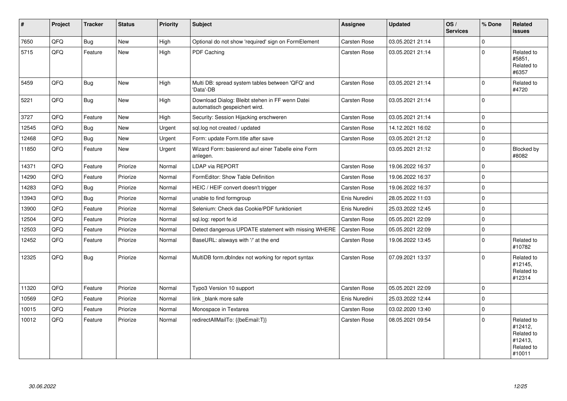| #     | Project | <b>Tracker</b> | <b>Status</b> | <b>Priority</b> | <b>Subject</b>                                                                   | <b>Assignee</b> | <b>Updated</b>   | OS/<br><b>Services</b> | % Done         | <b>Related</b><br>issues                                               |
|-------|---------|----------------|---------------|-----------------|----------------------------------------------------------------------------------|-----------------|------------------|------------------------|----------------|------------------------------------------------------------------------|
| 7650  | QFQ     | Bug            | <b>New</b>    | High            | Optional do not show 'required' sign on FormElement                              | Carsten Rose    | 03.05.2021 21:14 |                        | <sup>0</sup>   |                                                                        |
| 5715  | QFQ     | Feature        | <b>New</b>    | High            | <b>PDF Caching</b>                                                               | Carsten Rose    | 03.05.2021 21:14 |                        | $\Omega$       | Related to<br>#5851.<br>Related to<br>#6357                            |
| 5459  | QFQ     | Bug            | <b>New</b>    | High            | Multi DB: spread system tables between 'QFQ' and<br>'Data'-DB                    | Carsten Rose    | 03.05.2021 21:14 |                        | $\Omega$       | Related to<br>#4720                                                    |
| 5221  | QFQ     | <b>Bug</b>     | <b>New</b>    | High            | Download Dialog: Bleibt stehen in FF wenn Datei<br>automatisch gespeichert wird. | Carsten Rose    | 03.05.2021 21:14 |                        | $\Omega$       |                                                                        |
| 3727  | QFQ     | Feature        | <b>New</b>    | High            | Security: Session Hijacking erschweren                                           | Carsten Rose    | 03.05.2021 21:14 |                        | $\Omega$       |                                                                        |
| 12545 | QFQ     | Bug            | <b>New</b>    | Urgent          | sql.log not created / updated                                                    | Carsten Rose    | 14.12.2021 16:02 |                        | $\overline{0}$ |                                                                        |
| 12468 | QFQ     | <b>Bug</b>     | <b>New</b>    | Urgent          | Form: update Form.title after save                                               | Carsten Rose    | 03.05.2021 21:12 |                        | 0              |                                                                        |
| 11850 | QFQ     | Feature        | <b>New</b>    | Urgent          | Wizard Form: basierend auf einer Tabelle eine Form<br>anlegen.                   |                 | 03.05.2021 21:12 |                        | $\Omega$       | <b>Blocked by</b><br>#8082                                             |
| 14371 | QFQ     | Feature        | Priorize      | Normal          | <b>LDAP via REPORT</b>                                                           | Carsten Rose    | 19.06.2022 16:37 |                        | 0              |                                                                        |
| 14290 | QFQ     | Feature        | Priorize      | Normal          | FormEditor: Show Table Definition                                                | Carsten Rose    | 19.06.2022 16:37 |                        | 0              |                                                                        |
| 14283 | QFQ     | <b>Bug</b>     | Priorize      | Normal          | HEIC / HEIF convert doesn't trigger                                              | Carsten Rose    | 19.06.2022 16:37 |                        | $\Omega$       |                                                                        |
| 13943 | QFQ     | Bug            | Priorize      | Normal          | unable to find formgroup                                                         | Enis Nuredini   | 28.05.2022 11:03 |                        | $\Omega$       |                                                                        |
| 13900 | QFQ     | Feature        | Priorize      | Normal          | Selenium: Check das Cookie/PDF funktioniert                                      | Enis Nuredini   | 25.03.2022 12:45 |                        | 0              |                                                                        |
| 12504 | QFQ     | Feature        | Priorize      | Normal          | sql.log: report fe.id                                                            | Carsten Rose    | 05.05.2021 22:09 |                        | 0              |                                                                        |
| 12503 | QFQ     | Feature        | Priorize      | Normal          | Detect dangerous UPDATE statement with missing WHERE                             | Carsten Rose    | 05.05.2021 22:09 |                        | 0              |                                                                        |
| 12452 | QFQ     | Feature        | Priorize      | Normal          | BaseURL: alsways with '/' at the end                                             | Carsten Rose    | 19.06.2022 13:45 |                        | $\mathbf 0$    | Related to<br>#10782                                                   |
| 12325 | QFQ     | Bug            | Priorize      | Normal          | MultiDB form.dbIndex not working for report syntax                               | Carsten Rose    | 07.09.2021 13:37 |                        | $\Omega$       | Related to<br>#12145,<br>Related to<br>#12314                          |
| 11320 | QFQ     | Feature        | Priorize      | Normal          | Typo3 Version 10 support                                                         | Carsten Rose    | 05.05.2021 22:09 |                        | $\Omega$       |                                                                        |
| 10569 | QFQ     | Feature        | Priorize      | Normal          | link blank more safe                                                             | Enis Nuredini   | 25.03.2022 12:44 |                        | 0              |                                                                        |
| 10015 | QFQ     | Feature        | Priorize      | Normal          | Monospace in Textarea                                                            | Carsten Rose    | 03.02.2020 13:40 |                        | $\mathbf 0$    |                                                                        |
| 10012 | QFQ     | Feature        | Priorize      | Normal          | redirectAllMailTo: {{beEmail:T}}                                                 | Carsten Rose    | 08.05.2021 09:54 |                        | 0              | Related to<br>#12412,<br>Related to<br>#12413,<br>Related to<br>#10011 |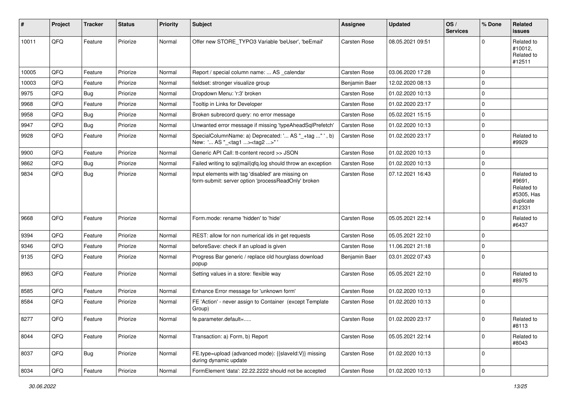| ∦     | Project | <b>Tracker</b> | <b>Status</b> | <b>Priority</b> | <b>Subject</b>                                                                                           | <b>Assignee</b>     | <b>Updated</b>   | OS/<br><b>Services</b> | % Done      | Related<br><b>issues</b>                                                |
|-------|---------|----------------|---------------|-----------------|----------------------------------------------------------------------------------------------------------|---------------------|------------------|------------------------|-------------|-------------------------------------------------------------------------|
| 10011 | QFQ     | Feature        | Priorize      | Normal          | Offer new STORE_TYPO3 Variable 'beUser', 'beEmail'                                                       | Carsten Rose        | 08.05.2021 09:51 |                        | $\Omega$    | Related to<br>#10012,<br>Related to<br>#12511                           |
| 10005 | QFQ     | Feature        | Priorize      | Normal          | Report / special column name:  AS calendar                                                               | Carsten Rose        | 03.06.2020 17:28 |                        | $\mathbf 0$ |                                                                         |
| 10003 | QFQ     | Feature        | Priorize      | Normal          | fieldset: stronger visualize group                                                                       | Benjamin Baer       | 12.02.2020 08:13 |                        | $\mathbf 0$ |                                                                         |
| 9975  | QFQ     | <b>Bug</b>     | Priorize      | Normal          | Dropdown Menu: 'r:3' broken                                                                              | <b>Carsten Rose</b> | 01.02.2020 10:13 |                        | 0           |                                                                         |
| 9968  | QFQ     | Feature        | Priorize      | Normal          | Tooltip in Links for Developer                                                                           | Carsten Rose        | 01.02.2020 23:17 |                        | $\Omega$    |                                                                         |
| 9958  | QFQ     | <b>Bug</b>     | Priorize      | Normal          | Broken subrecord query: no error message                                                                 | Carsten Rose        | 05.02.2021 15:15 |                        | $\mathbf 0$ |                                                                         |
| 9947  | QFQ     | <b>Bug</b>     | Priorize      | Normal          | Unwanted error message if missing 'typeAheadSqlPrefetch'                                                 | Carsten Rose        | 01.02.2020 10:13 |                        | $\mathbf 0$ |                                                                         |
| 9928  | QFQ     | Feature        | Priorize      | Normal          | SpecialColumnName: a) Deprecated: ' AS "_+tag " ', b)<br>New: ' AS "_ <tag1><tag2>" '</tag2></tag1>      | Carsten Rose        | 01.02.2020 23:17 |                        | $\mathbf 0$ | Related to<br>#9929                                                     |
| 9900  | QFQ     | Feature        | Priorize      | Normal          | Generic API Call: tt-content record >> JSON                                                              | Carsten Rose        | 01.02.2020 10:13 |                        | $\mathbf 0$ |                                                                         |
| 9862  | QFQ     | <b>Bug</b>     | Priorize      | Normal          | Failed writing to sql mail qfq.log should throw an exception                                             | Carsten Rose        | 01.02.2020 10:13 |                        | $\mathbf 0$ |                                                                         |
| 9834  | QFQ     | Bug            | Priorize      | Normal          | Input elements with tag 'disabled' are missing on<br>form-submit: server option 'processReadOnly' broken | Carsten Rose        | 07.12.2021 16:43 |                        | $\mathbf 0$ | Related to<br>#9691,<br>Related to<br>#5305, Has<br>duplicate<br>#12331 |
| 9668  | QFQ     | Feature        | Priorize      | Normal          | Form.mode: rename 'hidden' to 'hide'                                                                     | Carsten Rose        | 05.05.2021 22:14 |                        | $\mathbf 0$ | Related to<br>#6437                                                     |
| 9394  | QFQ     | Feature        | Priorize      | Normal          | REST: allow for non numerical ids in get requests                                                        | Carsten Rose        | 05.05.2021 22:10 |                        | $\mathbf 0$ |                                                                         |
| 9346  | QFQ     | Feature        | Priorize      | Normal          | beforeSave: check if an upload is given                                                                  | Carsten Rose        | 11.06.2021 21:18 |                        | $\mathbf 0$ |                                                                         |
| 9135  | QFQ     | Feature        | Priorize      | Normal          | Progress Bar generic / replace old hourglass download<br>popup                                           | Benjamin Baer       | 03.01.2022 07:43 |                        | $\Omega$    |                                                                         |
| 8963  | QFQ     | Feature        | Priorize      | Normal          | Setting values in a store: flexible way                                                                  | Carsten Rose        | 05.05.2021 22:10 |                        | $\mathbf 0$ | Related to<br>#8975                                                     |
| 8585  | QFQ     | Feature        | Priorize      | Normal          | Enhance Error message for 'unknown form'                                                                 | Carsten Rose        | 01.02.2020 10:13 |                        | $\mathbf 0$ |                                                                         |
| 8584  | QFQ     | Feature        | Priorize      | Normal          | FE 'Action' - never assign to Container (except Template<br>Group)                                       | Carsten Rose        | 01.02.2020 10:13 |                        | $\mathbf 0$ |                                                                         |
| 8277  | QFQ     | Feature        | Priorize      | Normal          | fe.parameter.default=                                                                                    | Carsten Rose        | 01.02.2020 23:17 |                        | 0           | Related to<br>#8113                                                     |
| 8044  | QFQ     | Feature        | Priorize      | Normal          | Transaction: a) Form, b) Report                                                                          | Carsten Rose        | 05.05.2021 22:14 |                        | $\mathbf 0$ | Related to<br>#8043                                                     |
| 8037  | QFQ     | Bug            | Priorize      | Normal          | FE.type=upload (advanced mode): {{slaveId:V}} missing<br>during dynamic update                           | Carsten Rose        | 01.02.2020 10:13 |                        | $\mathbf 0$ |                                                                         |
| 8034  | QFQ     | Feature        | Priorize      | Normal          | FormElement 'data': 22.22.2222 should not be accepted                                                    | Carsten Rose        | 01.02.2020 10:13 |                        | $\mathsf 0$ |                                                                         |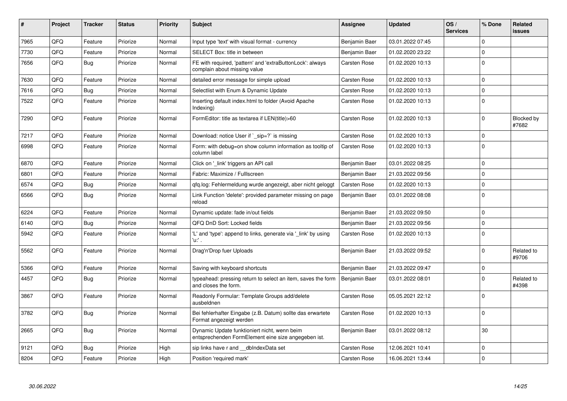| #    | Project | <b>Tracker</b> | <b>Status</b> | <b>Priority</b> | <b>Subject</b>                                                                                      | Assignee            | <b>Updated</b>   | OS/<br><b>Services</b> | % Done              | Related<br><b>issues</b> |
|------|---------|----------------|---------------|-----------------|-----------------------------------------------------------------------------------------------------|---------------------|------------------|------------------------|---------------------|--------------------------|
| 7965 | QFQ     | Feature        | Priorize      | Normal          | Input type 'text' with visual format - currency                                                     | Benjamin Baer       | 03.01.2022 07:45 |                        | 0                   |                          |
| 7730 | QFQ     | Feature        | Priorize      | Normal          | SELECT Box: title in between                                                                        | Benjamin Baer       | 01.02.2020 23:22 |                        | 0                   |                          |
| 7656 | QFQ     | <b>Bug</b>     | Priorize      | Normal          | FE with required, 'pattern' and 'extraButtonLock': always<br>complain about missing value           | Carsten Rose        | 01.02.2020 10:13 |                        | $\mathbf 0$         |                          |
| 7630 | QFQ     | Feature        | Priorize      | Normal          | detailed error message for simple upload                                                            | Carsten Rose        | 01.02.2020 10:13 |                        | $\mathbf 0$         |                          |
| 7616 | QFQ     | <b>Bug</b>     | Priorize      | Normal          | Selectlist with Enum & Dynamic Update                                                               | Carsten Rose        | 01.02.2020 10:13 |                        | $\mathbf 0$         |                          |
| 7522 | QFQ     | Feature        | Priorize      | Normal          | Inserting default index.html to folder (Avoid Apache<br>Indexing)                                   | Carsten Rose        | 01.02.2020 10:13 |                        | $\mathbf 0$         |                          |
| 7290 | QFQ     | Feature        | Priorize      | Normal          | FormEditor: title as textarea if LEN(title)>60                                                      | Carsten Rose        | 01.02.2020 10:13 |                        | 0                   | Blocked by<br>#7682      |
| 7217 | QFQ     | Feature        | Priorize      | Normal          | Download: notice User if `_sip=?` is missing                                                        | Carsten Rose        | 01.02.2020 10:13 |                        | $\Omega$            |                          |
| 6998 | QFQ     | Feature        | Priorize      | Normal          | Form: with debug=on show column information as tooltip of<br>column label                           | Carsten Rose        | 01.02.2020 10:13 |                        | $\mathbf 0$         |                          |
| 6870 | QFQ     | Feature        | Priorize      | Normal          | Click on '_link' triggers an API call                                                               | Benjamin Baer       | 03.01.2022 08:25 |                        | $\mathbf 0$         |                          |
| 6801 | QFQ     | Feature        | Priorize      | Normal          | Fabric: Maximize / Fulllscreen                                                                      | Benjamin Baer       | 21.03.2022 09:56 |                        | $\mathbf 0$         |                          |
| 6574 | QFQ     | <b>Bug</b>     | Priorize      | Normal          | gfg.log: Fehlermeldung wurde angezeigt, aber nicht geloggt                                          | Carsten Rose        | 01.02.2020 10:13 |                        | $\mathbf 0$         |                          |
| 6566 | QFQ     | <b>Bug</b>     | Priorize      | Normal          | Link Function 'delete': provided parameter missing on page<br>reload                                | Benjamin Baer       | 03.01.2022 08:08 |                        | $\Omega$            |                          |
| 6224 | QFQ     | Feature        | Priorize      | Normal          | Dynamic update: fade in/out fields                                                                  | Benjamin Baer       | 21.03.2022 09:50 |                        | $\mathbf 0$         |                          |
| 6140 | QFQ     | <b>Bug</b>     | Priorize      | Normal          | QFQ DnD Sort: Locked fields                                                                         | Benjamin Baer       | 21.03.2022 09:56 |                        | 0                   |                          |
| 5942 | QFQ     | Feature        | Priorize      | Normal          | 'L' and 'type': append to links, generate via 'link' by using<br>'u:' .                             | Carsten Rose        | 01.02.2020 10:13 |                        | $\mathbf 0$         |                          |
| 5562 | QFQ     | Feature        | Priorize      | Normal          | Drag'n'Drop fuer Uploads                                                                            | Benjamin Baer       | 21.03.2022 09:52 |                        | $\Omega$            | Related to<br>#9706      |
| 5366 | QFQ     | Feature        | Priorize      | Normal          | Saving with keyboard shortcuts                                                                      | Benjamin Baer       | 21.03.2022 09:47 |                        | $\mathbf 0$         |                          |
| 4457 | QFQ     | <b>Bug</b>     | Priorize      | Normal          | typeahead: pressing return to select an item, saves the form<br>and closes the form.                | Benjamin Baer       | 03.01.2022 08:01 |                        | $\mathbf 0$         | Related to<br>#4398      |
| 3867 | QFQ     | Feature        | Priorize      | Normal          | Readonly Formular: Template Groups add/delete<br>ausbeldnen                                         | Carsten Rose        | 05.05.2021 22:12 |                        | $\Omega$            |                          |
| 3782 | QFQ     | <b>Bug</b>     | Priorize      | Normal          | Bei fehlerhafter Eingabe (z.B. Datum) sollte das erwartete<br>Format angezeigt werden               | Carsten Rose        | 01.02.2020 10:13 |                        | $\mathbf 0$         |                          |
| 2665 | QFQ     | <b>Bug</b>     | Priorize      | Normal          | Dynamic Update funktioniert nicht, wenn beim<br>entsprechenden FormElement eine size angegeben ist. | Benjamin Baer       | 03.01.2022 08:12 |                        | 30                  |                          |
| 9121 | QFQ     | <b>Bug</b>     | Priorize      | High            | sip links have r and dbIndexData set                                                                | Carsten Rose        | 12.06.2021 10:41 |                        | $\mathbf 0$         |                          |
| 8204 | QFQ     | Feature        | Priorize      | High            | Position 'required mark'                                                                            | <b>Carsten Rose</b> | 16.06.2021 13:44 |                        | $\mathsf{O}\xspace$ |                          |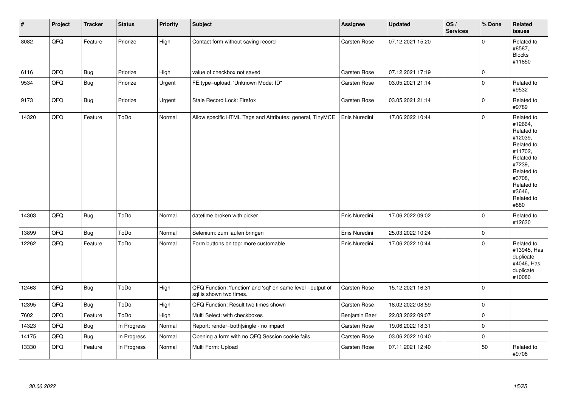| $\vert$ # | Project | <b>Tracker</b> | <b>Status</b> | <b>Priority</b> | Subject                                                                                 | Assignee            | <b>Updated</b>   | OS/<br><b>Services</b> | % Done      | Related<br><b>issues</b>                                                                                                                                              |
|-----------|---------|----------------|---------------|-----------------|-----------------------------------------------------------------------------------------|---------------------|------------------|------------------------|-------------|-----------------------------------------------------------------------------------------------------------------------------------------------------------------------|
| 8082      | QFQ     | Feature        | Priorize      | High            | Contact form without saving record                                                      | Carsten Rose        | 07.12.2021 15:20 |                        | $\mathbf 0$ | Related to<br>#8587,<br><b>Blocks</b><br>#11850                                                                                                                       |
| 6116      | QFQ     | <b>Bug</b>     | Priorize      | High            | value of checkbox not saved                                                             | <b>Carsten Rose</b> | 07.12.2021 17:19 |                        | $\mathbf 0$ |                                                                                                                                                                       |
| 9534      | QFQ     | Bug            | Priorize      | Urgent          | FE.type=upload: 'Unknown Mode: ID"                                                      | Carsten Rose        | 03.05.2021 21:14 |                        | $\mathbf 0$ | Related to<br>#9532                                                                                                                                                   |
| 9173      | QFQ     | <b>Bug</b>     | Priorize      | Urgent          | Stale Record Lock: Firefox                                                              | Carsten Rose        | 03.05.2021 21:14 |                        | $\mathbf 0$ | Related to<br>#9789                                                                                                                                                   |
| 14320     | QFQ     | Feature        | ToDo          | Normal          | Allow specific HTML Tags and Attributes: general, TinyMCE                               | Enis Nuredini       | 17.06.2022 10:44 |                        | $\mathbf 0$ | Related to<br>#12664,<br>Related to<br>#12039,<br>Related to<br>#11702,<br>Related to<br>#7239,<br>Related to<br>#3708,<br>Related to<br>#3646,<br>Related to<br>#880 |
| 14303     | QFQ     | Bug            | ToDo          | Normal          | datetime broken with picker                                                             | Enis Nuredini       | 17.06.2022 09:02 |                        | $\Omega$    | Related to<br>#12630                                                                                                                                                  |
| 13899     | QFQ     | Bug            | ToDo          | Normal          | Selenium: zum laufen bringen                                                            | Enis Nuredini       | 25.03.2022 10:24 |                        | $\pmb{0}$   |                                                                                                                                                                       |
| 12262     | QFQ     | Feature        | ToDo          | Normal          | Form buttons on top: more customable                                                    | Enis Nuredini       | 17.06.2022 10:44 |                        | $\mathbf 0$ | Related to<br>#13945, Has<br>duplicate<br>#4046, Has<br>duplicate<br>#10080                                                                                           |
| 12463     | QFQ     | <b>Bug</b>     | ToDo          | High            | QFQ Function: 'function' and 'sql' on same level - output of<br>sql is shown two times. | Carsten Rose        | 15.12.2021 16:31 |                        | $\Omega$    |                                                                                                                                                                       |
| 12395     | QFQ     | <b>Bug</b>     | ToDo          | High            | QFQ Function: Result two times shown                                                    | Carsten Rose        | 18.02.2022 08:59 |                        | $\mathbf 0$ |                                                                                                                                                                       |
| 7602      | QFQ     | Feature        | ToDo          | High            | Multi Select: with checkboxes                                                           | Benjamin Baer       | 22.03.2022 09:07 |                        | $\pmb{0}$   |                                                                                                                                                                       |
| 14323     | QFQ     | <b>Bug</b>     | In Progress   | Normal          | Report: render=both single - no impact                                                  | Carsten Rose        | 19.06.2022 18:31 |                        | $\mathbf 0$ |                                                                                                                                                                       |
| 14175     | QFQ     | <b>Bug</b>     | In Progress   | Normal          | Opening a form with no QFQ Session cookie fails                                         | <b>Carsten Rose</b> | 03.06.2022 10:40 |                        | $\mathbf 0$ |                                                                                                                                                                       |
| 13330     | QFQ     | Feature        | In Progress   | Normal          | Multi Form: Upload                                                                      | Carsten Rose        | 07.11.2021 12:40 |                        | 50          | Related to<br>#9706                                                                                                                                                   |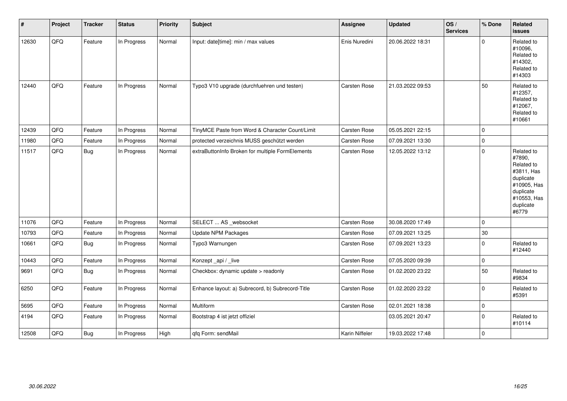| $\vert$ # | Project | <b>Tracker</b> | <b>Status</b> | <b>Priority</b> | <b>Subject</b>                                   | <b>Assignee</b>     | <b>Updated</b>   | OS/<br><b>Services</b> | % Done      | Related<br>issues                                                                                                              |
|-----------|---------|----------------|---------------|-----------------|--------------------------------------------------|---------------------|------------------|------------------------|-------------|--------------------------------------------------------------------------------------------------------------------------------|
| 12630     | QFQ     | Feature        | In Progress   | Normal          | Input: date[time]: min / max values              | Enis Nuredini       | 20.06.2022 18:31 |                        | 0           | Related to<br>#10096,<br>Related to<br>#14302,<br>Related to<br>#14303                                                         |
| 12440     | QFQ     | Feature        | In Progress   | Normal          | Typo3 V10 upgrade (durchfuehren und testen)      | Carsten Rose        | 21.03.2022 09:53 |                        | 50          | Related to<br>#12357,<br>Related to<br>#12067,<br>Related to<br>#10661                                                         |
| 12439     | QFQ     | Feature        | In Progress   | Normal          | TinyMCE Paste from Word & Character Count/Limit  | Carsten Rose        | 05.05.2021 22:15 |                        | 0           |                                                                                                                                |
| 11980     | QFQ     | Feature        | In Progress   | Normal          | protected verzeichnis MUSS geschützt werden      | Carsten Rose        | 07.09.2021 13:30 |                        | $\mathbf 0$ |                                                                                                                                |
| 11517     | QFQ     | Bug            | In Progress   | Normal          | extraButtonInfo Broken for multiple FormElements | Carsten Rose        | 12.05.2022 13:12 |                        | $\Omega$    | Related to<br>#7890,<br>Related to<br>#3811, Has<br>duplicate<br>#10905, Has<br>duplicate<br>#10553, Has<br>duplicate<br>#6779 |
| 11076     | QFQ     | Feature        | In Progress   | Normal          | SELECT  AS _websocket                            | <b>Carsten Rose</b> | 30.08.2020 17:49 |                        | $\Omega$    |                                                                                                                                |
| 10793     | QFQ     | Feature        | In Progress   | Normal          | Update NPM Packages                              | Carsten Rose        | 07.09.2021 13:25 |                        | 30          |                                                                                                                                |
| 10661     | QFQ     | <b>Bug</b>     | In Progress   | Normal          | Typo3 Warnungen                                  | Carsten Rose        | 07.09.2021 13:23 |                        | $\mathbf 0$ | Related to<br>#12440                                                                                                           |
| 10443     | QFQ     | Feature        | In Progress   | Normal          | Konzept_api / _live                              | Carsten Rose        | 07.05.2020 09:39 |                        | $\mathbf 0$ |                                                                                                                                |
| 9691      | QFQ     | Bug            | In Progress   | Normal          | Checkbox: dynamic update > readonly              | Carsten Rose        | 01.02.2020 23:22 |                        | 50          | Related to<br>#9834                                                                                                            |
| 6250      | QFQ     | Feature        | In Progress   | Normal          | Enhance layout: a) Subrecord, b) Subrecord-Title | Carsten Rose        | 01.02.2020 23:22 |                        | $\mathbf 0$ | Related to<br>#5391                                                                                                            |
| 5695      | QFQ     | Feature        | In Progress   | Normal          | Multiform                                        | Carsten Rose        | 02.01.2021 18:38 |                        | 0           |                                                                                                                                |
| 4194      | QFQ     | Feature        | In Progress   | Normal          | Bootstrap 4 ist jetzt offiziel                   |                     | 03.05.2021 20:47 |                        | $\mathbf 0$ | Related to<br>#10114                                                                                                           |
| 12508     | QFQ     | <b>Bug</b>     | In Progress   | High            | qfq Form: sendMail                               | Karin Niffeler      | 19.03.2022 17:48 |                        | $\mathbf 0$ |                                                                                                                                |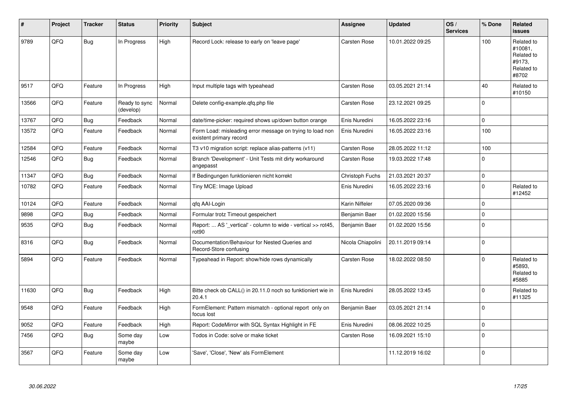| #     | Project | <b>Tracker</b> | <b>Status</b>              | <b>Priority</b> | <b>Subject</b>                                                                       | Assignee            | <b>Updated</b>   | OS/<br><b>Services</b> | % Done      | Related<br><b>issues</b>                                             |
|-------|---------|----------------|----------------------------|-----------------|--------------------------------------------------------------------------------------|---------------------|------------------|------------------------|-------------|----------------------------------------------------------------------|
| 9789  | QFQ     | Bug            | In Progress                | High            | Record Lock: release to early on 'leave page'                                        | Carsten Rose        | 10.01.2022 09:25 |                        | 100         | Related to<br>#10081,<br>Related to<br>#9173.<br>Related to<br>#8702 |
| 9517  | QFQ     | Feature        | In Progress                | High            | Input multiple tags with typeahead                                                   | Carsten Rose        | 03.05.2021 21:14 |                        | 40          | Related to<br>#10150                                                 |
| 13566 | QFQ     | Feature        | Ready to sync<br>(develop) | Normal          | Delete config-example.qfq.php file                                                   | Carsten Rose        | 23.12.2021 09:25 |                        | $\mathbf 0$ |                                                                      |
| 13767 | QFQ     | <b>Bug</b>     | Feedback                   | Normal          | date/time-picker: required shows up/down button orange                               | Enis Nuredini       | 16.05.2022 23:16 |                        | $\Omega$    |                                                                      |
| 13572 | QFQ     | Feature        | Feedback                   | Normal          | Form Load: misleading error message on trying to load non<br>existent primary record | Enis Nuredini       | 16.05.2022 23:16 |                        | 100         |                                                                      |
| 12584 | QFQ     | Feature        | Feedback                   | Normal          | T3 v10 migration script: replace alias-patterns (v11)                                | <b>Carsten Rose</b> | 28.05.2022 11:12 |                        | 100         |                                                                      |
| 12546 | QFQ     | <b>Bug</b>     | Feedback                   | Normal          | Branch 'Development' - Unit Tests mit dirty workaround<br>angepasst                  | Carsten Rose        | 19.03.2022 17:48 |                        | $\Omega$    |                                                                      |
| 11347 | QFQ     | Bug            | Feedback                   | Normal          | If Bedingungen funktionieren nicht korrekt                                           | Christoph Fuchs     | 21.03.2021 20:37 |                        | $\mathbf 0$ |                                                                      |
| 10782 | QFQ     | Feature        | Feedback                   | Normal          | Tiny MCE: Image Upload                                                               | Enis Nuredini       | 16.05.2022 23:16 |                        | $\mathbf 0$ | Related to<br>#12452                                                 |
| 10124 | QFQ     | Feature        | Feedback                   | Normal          | qfq AAI-Login                                                                        | Karin Niffeler      | 07.05.2020 09:36 |                        | $\Omega$    |                                                                      |
| 9898  | QFQ     | <b>Bug</b>     | Feedback                   | Normal          | Formular trotz Timeout gespeichert                                                   | Benjamin Baer       | 01.02.2020 15:56 |                        | $\mathbf 0$ |                                                                      |
| 9535  | QFQ     | <b>Bug</b>     | Feedback                   | Normal          | Report:  AS '_vertical' - column to wide - vertical >> rot45,<br>rot90               | Benjamin Baer       | 01.02.2020 15:56 |                        | $\Omega$    |                                                                      |
| 8316  | QFQ     | <b>Bug</b>     | Feedback                   | Normal          | Documentation/Behaviour for Nested Queries and<br>Record-Store confusing             | Nicola Chiapolini   | 20.11.2019 09:14 |                        | $\mathbf 0$ |                                                                      |
| 5894  | QFQ     | Feature        | Feedback                   | Normal          | Typeahead in Report: show/hide rows dynamically                                      | Carsten Rose        | 18.02.2022 08:50 |                        | $\mathbf 0$ | Related to<br>#5893.<br>Related to<br>#5885                          |
| 11630 | QFQ     | Bug            | Feedback                   | High            | Bitte check ob CALL() in 20.11.0 noch so funktioniert wie in<br>20.4.1               | Enis Nuredini       | 28.05.2022 13:45 |                        | $\Omega$    | Related to<br>#11325                                                 |
| 9548  | QFQ     | Feature        | Feedback                   | High            | FormElement: Pattern mismatch - optional report only on<br>focus lost                | Benjamin Baer       | 03.05.2021 21:14 |                        | $\mathbf 0$ |                                                                      |
| 9052  | QFQ     | Feature        | Feedback                   | High            | Report: CodeMirror with SQL Syntax Highlight in FE                                   | Enis Nuredini       | 08.06.2022 10:25 |                        | $\mathbf 0$ |                                                                      |
| 7456  | QFQ     | <b>Bug</b>     | Some day<br>maybe          | Low             | Todos in Code: solve or make ticket                                                  | Carsten Rose        | 16.09.2021 15:10 |                        | $\mathbf 0$ |                                                                      |
| 3567  | QFQ     | Feature        | Some day<br>maybe          | Low             | 'Save', 'Close', 'New' als FormElement                                               |                     | 11.12.2019 16:02 |                        | $\Omega$    |                                                                      |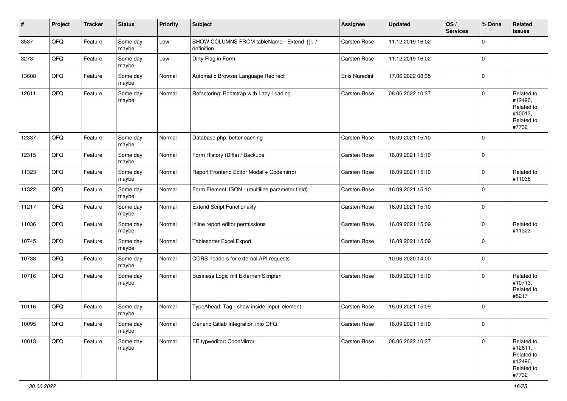| $\vert$ # | Project | <b>Tracker</b> | <b>Status</b>     | <b>Priority</b> | <b>Subject</b>                                           | Assignee            | <b>Updated</b>   | OS/<br><b>Services</b> | % Done      | Related<br><b>issues</b>                                              |
|-----------|---------|----------------|-------------------|-----------------|----------------------------------------------------------|---------------------|------------------|------------------------|-------------|-----------------------------------------------------------------------|
| 3537      | QFQ     | Feature        | Some day<br>maybe | Low             | SHOW COLUMNS FROM tableName - Extend '{{!'<br>definition | Carsten Rose        | 11.12.2019 16:02 |                        | $\mathbf 0$ |                                                                       |
| 3273      | QFQ     | Feature        | Some day<br>maybe | Low             | Dirty Flag in Form                                       | Carsten Rose        | 11.12.2019 16:02 |                        | 0           |                                                                       |
| 13608     | QFQ     | Feature        | Some day<br>maybe | Normal          | Automatic Browser Language Redirect                      | Enis Nuredini       | 17.06.2022 08:35 |                        | 0           |                                                                       |
| 12611     | QFQ     | Feature        | Some day<br>maybe | Normal          | Refactoring: Bootstrap with Lazy Loading                 | <b>Carsten Rose</b> | 08.06.2022 10:37 |                        | 0           | Related to<br>#12490,<br>Related to<br>#10013,<br>Related to<br>#7732 |
| 12337     | QFQ     | Feature        | Some day<br>maybe | Normal          | Database.php: better caching                             | Carsten Rose        | 16.09.2021 15:10 |                        | 0           |                                                                       |
| 12315     | QFQ     | Feature        | Some day<br>maybe | Normal          | Form History (Diffs) / Backups                           | Carsten Rose        | 16.09.2021 15:10 |                        | 0           |                                                                       |
| 11323     | QFQ     | Feature        | Some day<br>maybe | Normal          | Report Frontend Editor Modal + Codemirror                | Carsten Rose        | 16.09.2021 15:10 |                        | 0           | Related to<br>#11036                                                  |
| 11322     | QFQ     | Feature        | Some day<br>maybe | Normal          | Form Element JSON - (multiline parameter field)          | <b>Carsten Rose</b> | 16.09.2021 15:10 |                        | 0           |                                                                       |
| 11217     | QFO     | Feature        | Some day<br>maybe | Normal          | <b>Extend Script Functionality</b>                       | Carsten Rose        | 16.09.2021 15:10 |                        | 0           |                                                                       |
| 11036     | QFO     | Feature        | Some day<br>maybe | Normal          | inline report editor permissions                         | Carsten Rose        | 16.09.2021 15:09 |                        | $\mathbf 0$ | Related to<br>#11323                                                  |
| 10745     | QFQ     | Feature        | Some day<br>maybe | Normal          | Tablesorter Excel Export                                 | Carsten Rose        | 16.09.2021 15:09 |                        | 0           |                                                                       |
| 10738     | QFQ     | Feature        | Some day<br>maybe | Normal          | CORS headers for external API requests                   |                     | 10.06.2020 14:00 |                        | 0           |                                                                       |
| 10716     | QFQ     | Feature        | Some day<br>maybe | Normal          | Business Logic mit Externen Skripten                     | Carsten Rose        | 16.09.2021 15:10 |                        | 0           | Related to<br>#10713,<br>Related to<br>#8217                          |
| 10116     | QFQ     | Feature        | Some day<br>maybe | Normal          | TypeAhead: Tag - show inside 'input' element             | Carsten Rose        | 16.09.2021 15:09 |                        | 0           |                                                                       |
| 10095     | QFG     | Feature        | Some day<br>maybe | Normal          | Generic Gitlab Integration into QFQ                      | Carsten Rose        | 16.09.2021 15:10 |                        | 0           |                                                                       |
| 10013     | QFG     | Feature        | Some day<br>maybe | Normal          | FE.typ=editor: CodeMirror                                | Carsten Rose        | 08.06.2022 10:37 |                        | $\mathbf 0$ | Related to<br>#12611,<br>Related to<br>#12490,<br>Related to<br>#7732 |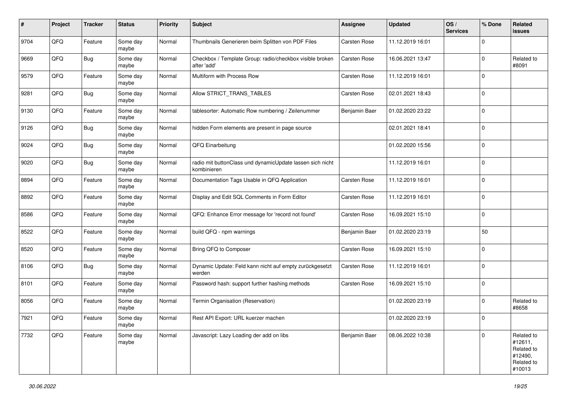| #    | Project | <b>Tracker</b> | <b>Status</b>     | <b>Priority</b> | <b>Subject</b>                                                           | <b>Assignee</b> | <b>Updated</b>   | OS/<br><b>Services</b> | % Done              | Related<br>issues                                                      |
|------|---------|----------------|-------------------|-----------------|--------------------------------------------------------------------------|-----------------|------------------|------------------------|---------------------|------------------------------------------------------------------------|
| 9704 | QFQ     | Feature        | Some day<br>maybe | Normal          | Thumbnails Generieren beim Splitten von PDF Files                        | Carsten Rose    | 11.12.2019 16:01 |                        | $\mathbf 0$         |                                                                        |
| 9669 | QFQ     | <b>Bug</b>     | Some day<br>maybe | Normal          | Checkbox / Template Group: radio/checkbox visible broken<br>after 'add'  | Carsten Rose    | 16.06.2021 13:47 |                        | $\mathbf 0$         | Related to<br>#8091                                                    |
| 9579 | QFQ     | Feature        | Some day<br>maybe | Normal          | Multiform with Process Row                                               | Carsten Rose    | 11.12.2019 16:01 |                        | 0                   |                                                                        |
| 9281 | QFQ     | <b>Bug</b>     | Some day<br>maybe | Normal          | Allow STRICT_TRANS_TABLES                                                | Carsten Rose    | 02.01.2021 18:43 |                        | 0                   |                                                                        |
| 9130 | QFQ     | Feature        | Some day<br>maybe | Normal          | tablesorter: Automatic Row numbering / Zeilenummer                       | Benjamin Baer   | 01.02.2020 23:22 |                        | $\mathbf 0$         |                                                                        |
| 9126 | QFQ     | <b>Bug</b>     | Some day<br>maybe | Normal          | hidden Form elements are present in page source                          |                 | 02.01.2021 18:41 |                        | $\mathbf 0$         |                                                                        |
| 9024 | QFQ     | <b>Bug</b>     | Some day<br>maybe | Normal          | QFQ Einarbeitung                                                         |                 | 01.02.2020 15:56 |                        | $\mathbf 0$         |                                                                        |
| 9020 | QFQ     | <b>Bug</b>     | Some day<br>maybe | Normal          | radio mit buttonClass und dynamicUpdate lassen sich nicht<br>kombinieren |                 | 11.12.2019 16:01 |                        | 0                   |                                                                        |
| 8894 | QFQ     | Feature        | Some day<br>maybe | Normal          | Documentation Tags Usable in QFQ Application                             | Carsten Rose    | 11.12.2019 16:01 |                        | $\mathsf{O}\xspace$ |                                                                        |
| 8892 | QFQ     | Feature        | Some day<br>maybe | Normal          | Display and Edit SQL Comments in Form Editor                             | Carsten Rose    | 11.12.2019 16:01 |                        | $\mathbf 0$         |                                                                        |
| 8586 | QFQ     | Feature        | Some day<br>maybe | Normal          | QFQ: Enhance Error message for 'record not found'                        | Carsten Rose    | 16.09.2021 15:10 |                        | $\mathbf 0$         |                                                                        |
| 8522 | QFQ     | Feature        | Some day<br>maybe | Normal          | build QFQ - npm warnings                                                 | Benjamin Baer   | 01.02.2020 23:19 |                        | 50                  |                                                                        |
| 8520 | QFQ     | Feature        | Some day<br>maybe | Normal          | Bring QFQ to Composer                                                    | Carsten Rose    | 16.09.2021 15:10 |                        | $\mathsf{O}\xspace$ |                                                                        |
| 8106 | QFQ     | <b>Bug</b>     | Some day<br>maybe | Normal          | Dynamic Update: Feld kann nicht auf empty zurückgesetzt<br>werden        | Carsten Rose    | 11.12.2019 16:01 |                        | $\mathbf 0$         |                                                                        |
| 8101 | QFQ     | Feature        | Some day<br>maybe | Normal          | Password hash: support further hashing methods                           | Carsten Rose    | 16.09.2021 15:10 |                        | $\mathbf 0$         |                                                                        |
| 8056 | QFQ     | Feature        | Some day<br>maybe | Normal          | Termin Organisation (Reservation)                                        |                 | 01.02.2020 23:19 |                        | $\mathbf 0$         | Related to<br>#8658                                                    |
| 7921 | QFQ     | Feature        | Some day<br>maybe | Normal          | Rest API Export: URL kuerzer machen                                      |                 | 01.02.2020 23:19 |                        | $\mathbf 0$         |                                                                        |
| 7732 | QFQ     | Feature        | Some day<br>maybe | Normal          | Javascript: Lazy Loading der add on libs                                 | Benjamin Baer   | 08.06.2022 10:38 |                        | $\mathsf{O}\xspace$ | Related to<br>#12611,<br>Related to<br>#12490,<br>Related to<br>#10013 |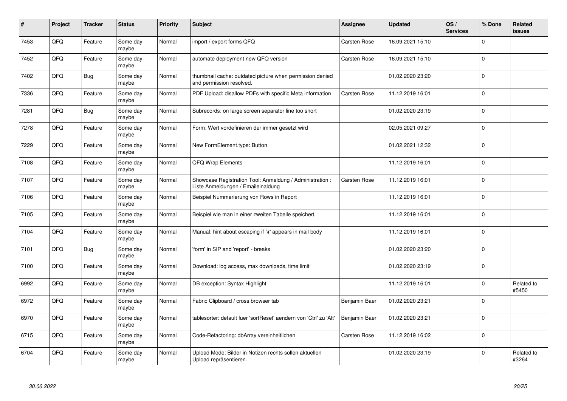| #    | Project | <b>Tracker</b> | <b>Status</b>     | <b>Priority</b> | <b>Subject</b>                                                                                 | Assignee      | <b>Updated</b>   | OS/<br><b>Services</b> | % Done      | Related<br>issues   |
|------|---------|----------------|-------------------|-----------------|------------------------------------------------------------------------------------------------|---------------|------------------|------------------------|-------------|---------------------|
| 7453 | QFQ     | Feature        | Some day<br>maybe | Normal          | import / export forms QFQ                                                                      | Carsten Rose  | 16.09.2021 15:10 |                        | $\Omega$    |                     |
| 7452 | QFQ     | Feature        | Some day<br>maybe | Normal          | automate deployment new QFQ version                                                            | Carsten Rose  | 16.09.2021 15:10 |                        | 0           |                     |
| 7402 | QFQ     | <b>Bug</b>     | Some day<br>maybe | Normal          | thumbnail cache: outdated picture when permission denied<br>and permission resolved.           |               | 01.02.2020 23:20 |                        | $\mathbf 0$ |                     |
| 7336 | QFQ     | Feature        | Some day<br>maybe | Normal          | PDF Upload: disallow PDFs with specific Meta information                                       | Carsten Rose  | 11.12.2019 16:01 |                        | $\Omega$    |                     |
| 7281 | QFQ     | <b>Bug</b>     | Some day<br>maybe | Normal          | Subrecords: on large screen separator line too short                                           |               | 01.02.2020 23:19 |                        | $\Omega$    |                     |
| 7278 | QFQ     | Feature        | Some day<br>maybe | Normal          | Form: Wert vordefinieren der immer gesetzt wird                                                |               | 02.05.2021 09:27 |                        | $\mathbf 0$ |                     |
| 7229 | QFQ     | Feature        | Some day<br>maybe | Normal          | New FormElement.type: Button                                                                   |               | 01.02.2021 12:32 |                        | $\pmb{0}$   |                     |
| 7108 | QFQ     | Feature        | Some day<br>maybe | Normal          | QFQ Wrap Elements                                                                              |               | 11.12.2019 16:01 |                        | $\mathbf 0$ |                     |
| 7107 | QFQ     | Feature        | Some day<br>maybe | Normal          | Showcase Registration Tool: Anmeldung / Administration :<br>Liste Anmeldungen / Emaileinaldung | Carsten Rose  | 11.12.2019 16:01 |                        | 0           |                     |
| 7106 | QFQ     | Feature        | Some day<br>maybe | Normal          | Beispiel Nummerierung von Rows in Report                                                       |               | 11.12.2019 16:01 |                        | $\pmb{0}$   |                     |
| 7105 | QFQ     | Feature        | Some day<br>maybe | Normal          | Beispiel wie man in einer zweiten Tabelle speichert.                                           |               | 11.12.2019 16:01 |                        | $\mathbf 0$ |                     |
| 7104 | QFQ     | Feature        | Some day<br>maybe | Normal          | Manual: hint about escaping if '\r' appears in mail body                                       |               | 11.12.2019 16:01 |                        | $\mathbf 0$ |                     |
| 7101 | QFQ     | Bug            | Some day<br>maybe | Normal          | 'form' in SIP and 'report' - breaks                                                            |               | 01.02.2020 23:20 |                        | $\mathbf 0$ |                     |
| 7100 | QFQ     | Feature        | Some day<br>maybe | Normal          | Download: log access, max downloads, time limit                                                |               | 01.02.2020 23:19 |                        | $\pmb{0}$   |                     |
| 6992 | QFQ     | Feature        | Some day<br>maybe | Normal          | DB exception: Syntax Highlight                                                                 |               | 11.12.2019 16:01 |                        | $\Omega$    | Related to<br>#5450 |
| 6972 | QFQ     | Feature        | Some day<br>maybe | Normal          | Fabric Clipboard / cross browser tab                                                           | Benjamin Baer | 01.02.2020 23:21 |                        | $\Omega$    |                     |
| 6970 | QFQ     | Feature        | Some day<br>maybe | Normal          | tablesorter: default fuer 'sortReset' aendern von 'Ctrl' zu 'Alt'                              | Benjamin Baer | 01.02.2020 23:21 |                        | $\mathbf 0$ |                     |
| 6715 | QFQ     | Feature        | Some day<br>maybe | Normal          | Code-Refactoring: dbArray vereinheitlichen                                                     | Carsten Rose  | 11.12.2019 16:02 |                        | $\pmb{0}$   |                     |
| 6704 | QFQ     | Feature        | Some day<br>maybe | Normal          | Upload Mode: Bilder in Notizen rechts sollen aktuellen<br>Upload repräsentieren.               |               | 01.02.2020 23:19 |                        | $\Omega$    | Related to<br>#3264 |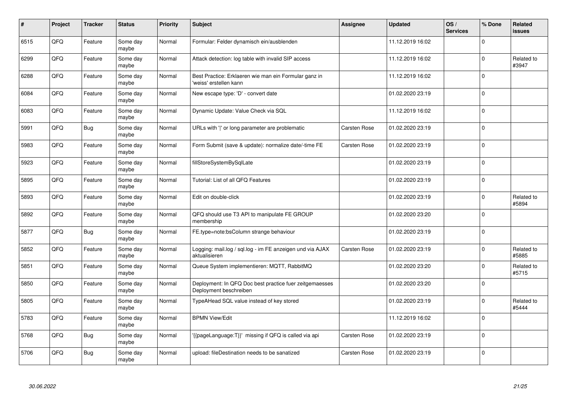| #    | Project | <b>Tracker</b> | <b>Status</b>     | <b>Priority</b> | <b>Subject</b>                                                                    | Assignee     | <b>Updated</b>   | OS/<br><b>Services</b> | % Done              | <b>Related</b><br>issues |
|------|---------|----------------|-------------------|-----------------|-----------------------------------------------------------------------------------|--------------|------------------|------------------------|---------------------|--------------------------|
| 6515 | QFQ     | Feature        | Some day<br>maybe | Normal          | Formular: Felder dynamisch ein/ausblenden                                         |              | 11.12.2019 16:02 |                        | $\Omega$            |                          |
| 6299 | QFQ     | Feature        | Some day<br>maybe | Normal          | Attack detection: log table with invalid SIP access                               |              | 11.12.2019 16:02 |                        | $\mathbf 0$         | Related to<br>#3947      |
| 6288 | QFQ     | Feature        | Some day<br>maybe | Normal          | Best Practice: Erklaeren wie man ein Formular ganz in<br>'weiss' erstellen kann   |              | 11.12.2019 16:02 |                        | $\mathsf{O}\xspace$ |                          |
| 6084 | QFQ     | Feature        | Some day<br>maybe | Normal          | New escape type: 'D' - convert date                                               |              | 01.02.2020 23:19 |                        | $\Omega$            |                          |
| 6083 | QFQ     | Feature        | Some day<br>maybe | Normal          | Dynamic Update: Value Check via SQL                                               |              | 11.12.2019 16:02 |                        | $\mathbf 0$         |                          |
| 5991 | QFQ     | Bug            | Some day<br>maybe | Normal          | URLs with ' ' or long parameter are problematic                                   | Carsten Rose | 01.02.2020 23:19 |                        | $\Omega$            |                          |
| 5983 | QFQ     | Feature        | Some day<br>maybe | Normal          | Form Submit (save & update): normalize date/-time FE                              | Carsten Rose | 01.02.2020 23:19 |                        | $\mathbf 0$         |                          |
| 5923 | QFQ     | Feature        | Some day<br>maybe | Normal          | fillStoreSystemBySqlLate                                                          |              | 01.02.2020 23:19 |                        | 0                   |                          |
| 5895 | QFQ     | Feature        | Some day<br>maybe | Normal          | Tutorial: List of all QFQ Features                                                |              | 01.02.2020 23:19 |                        | $\Omega$            |                          |
| 5893 | QFQ     | Feature        | Some day<br>maybe | Normal          | Edit on double-click                                                              |              | 01.02.2020 23:19 |                        | $\mathbf 0$         | Related to<br>#5894      |
| 5892 | QFQ     | Feature        | Some day<br>maybe | Normal          | QFQ should use T3 API to manipulate FE GROUP<br>membership                        |              | 01.02.2020 23:20 |                        | $\mathbf 0$         |                          |
| 5877 | QFQ     | <b>Bug</b>     | Some day<br>maybe | Normal          | FE.type=note:bsColumn strange behaviour                                           |              | 01.02.2020 23:19 |                        | $\mathbf 0$         |                          |
| 5852 | QFQ     | Feature        | Some day<br>maybe | Normal          | Logging: mail.log / sql.log - im FE anzeigen und via AJAX<br>aktualisieren        | Carsten Rose | 01.02.2020 23:19 |                        | $\Omega$            | Related to<br>#5885      |
| 5851 | QFQ     | Feature        | Some day<br>maybe | Normal          | Queue System implementieren: MQTT, RabbitMQ                                       |              | 01.02.2020 23:20 |                        | 0                   | Related to<br>#5715      |
| 5850 | QFQ     | Feature        | Some day<br>maybe | Normal          | Deployment: In QFQ Doc best practice fuer zeitgemaesses<br>Deployment beschreiben |              | 01.02.2020 23:20 |                        | $\Omega$            |                          |
| 5805 | QFQ     | Feature        | Some day<br>maybe | Normal          | TypeAHead SQL value instead of key stored                                         |              | 01.02.2020 23:19 |                        | $\Omega$            | Related to<br>#5444      |
| 5783 | QFQ     | Feature        | Some day<br>maybe | Normal          | <b>BPMN View/Edit</b>                                                             |              | 11.12.2019 16:02 |                        | $\mathbf 0$         |                          |
| 5768 | QFQ     | <b>Bug</b>     | Some day<br>maybe | Normal          | {{pageLanguage:T}}' missing if QFQ is called via api                              | Carsten Rose | 01.02.2020 23:19 |                        | $\mathbf 0$         |                          |
| 5706 | QFQ     | <b>Bug</b>     | Some day<br>maybe | Normal          | upload: fileDestination needs to be sanatized                                     | Carsten Rose | 01.02.2020 23:19 |                        | $\mathbf 0$         |                          |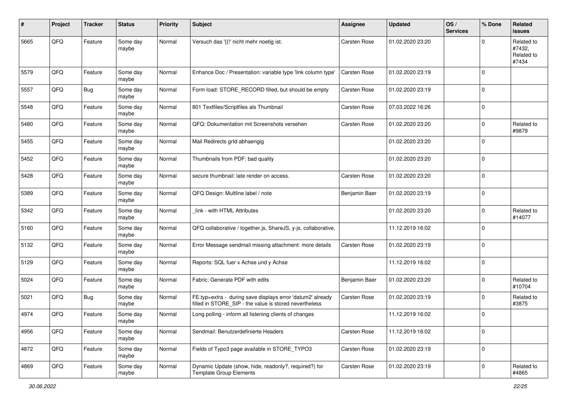| #    | Project | <b>Tracker</b> | <b>Status</b>     | <b>Priority</b> | <b>Subject</b>                                                                                                       | <b>Assignee</b> | <b>Updated</b>   | OS/<br><b>Services</b> | % Done      | Related<br><b>issues</b>                    |
|------|---------|----------------|-------------------|-----------------|----------------------------------------------------------------------------------------------------------------------|-----------------|------------------|------------------------|-------------|---------------------------------------------|
| 5665 | QFQ     | Feature        | Some day<br>maybe | Normal          | Versuch das '{{!' nicht mehr noetig ist.                                                                             | Carsten Rose    | 01.02.2020 23:20 |                        | $\Omega$    | Related to<br>#7432.<br>Related to<br>#7434 |
| 5579 | QFQ     | Feature        | Some day<br>maybe | Normal          | Enhance Doc / Presentation: variable type 'link column type'                                                         | Carsten Rose    | 01.02.2020 23:19 |                        | $\mathbf 0$ |                                             |
| 5557 | QFQ     | <b>Bug</b>     | Some day<br>maybe | Normal          | Form load: STORE RECORD filled, but should be empty                                                                  | Carsten Rose    | 01.02.2020 23:19 |                        | $\mathbf 0$ |                                             |
| 5548 | QFQ     | Feature        | Some day<br>maybe | Normal          | 801 Textfiles/Scriptfiles als Thumbnail                                                                              | Carsten Rose    | 07.03.2022 16:26 |                        | $\mathbf 0$ |                                             |
| 5480 | QFQ     | Feature        | Some day<br>maybe | Normal          | QFQ: Dokumentation mit Screenshots versehen                                                                          | Carsten Rose    | 01.02.2020 23:20 |                        | $\mathbf 0$ | Related to<br>#9879                         |
| 5455 | QFQ     | Feature        | Some day<br>maybe | Normal          | Mail Redirects grld abhaengig                                                                                        |                 | 01.02.2020 23:20 |                        | $\mathbf 0$ |                                             |
| 5452 | QFQ     | Feature        | Some day<br>maybe | Normal          | Thumbnails from PDF: bad quality                                                                                     |                 | 01.02.2020 23:20 |                        | $\mathbf 0$ |                                             |
| 5428 | QFQ     | Feature        | Some day<br>maybe | Normal          | secure thumbnail: late render on access.                                                                             | Carsten Rose    | 01.02.2020 23:20 |                        | $\mathbf 0$ |                                             |
| 5389 | QFQ     | Feature        | Some day<br>maybe | Normal          | QFQ Design: Multline label / note                                                                                    | Benjamin Baer   | 01.02.2020 23:19 |                        | $\mathbf 0$ |                                             |
| 5342 | QFQ     | Feature        | Some day<br>maybe | Normal          | link - with HTML Attributes                                                                                          |                 | 01.02.2020 23:20 |                        | $\mathbf 0$ | Related to<br>#14077                        |
| 5160 | QFQ     | Feature        | Some day<br>maybe | Normal          | QFQ collaborative / together.js, ShareJS, y-js, collaborative,                                                       |                 | 11.12.2019 16:02 |                        | $\mathbf 0$ |                                             |
| 5132 | QFQ     | Feature        | Some day<br>maybe | Normal          | Error Message sendmail missing attachment: more details                                                              | Carsten Rose    | 01.02.2020 23:19 |                        | $\mathbf 0$ |                                             |
| 5129 | QFQ     | Feature        | Some day<br>maybe | Normal          | Reports: SQL fuer x Achse und y Achse                                                                                |                 | 11.12.2019 16:02 |                        | $\mathbf 0$ |                                             |
| 5024 | QFQ     | Feature        | Some day<br>maybe | Normal          | Fabric: Generate PDF with edits                                                                                      | Benjamin Baer   | 01.02.2020 23:20 |                        | $\mathbf 0$ | Related to<br>#10704                        |
| 5021 | QFQ     | <b>Bug</b>     | Some day<br>maybe | Normal          | FE.typ=extra - during save displays error 'datum2' already<br>filled in STORE_SIP - the value is stored nevertheless | Carsten Rose    | 01.02.2020 23:19 |                        | $\Omega$    | Related to<br>#3875                         |
| 4974 | QFQ     | Feature        | Some day<br>maybe | Normal          | Long polling - inform all listening clients of changes                                                               |                 | 11.12.2019 16:02 |                        | $\mathbf 0$ |                                             |
| 4956 | QFQ     | Feature        | Some day<br>maybe | Normal          | Sendmail: Benutzerdefinierte Headers                                                                                 | Carsten Rose    | 11.12.2019 16:02 |                        | 0           |                                             |
| 4872 | QFQ     | Feature        | Some day<br>maybe | Normal          | Fields of Typo3 page available in STORE_TYPO3                                                                        | Carsten Rose    | 01.02.2020 23:19 |                        | $\mathbf 0$ |                                             |
| 4869 | QFQ     | Feature        | Some day<br>maybe | Normal          | Dynamic Update (show, hide, readonly?, required?) for<br><b>Template Group Elements</b>                              | Carsten Rose    | 01.02.2020 23:19 |                        | $\mathbf 0$ | Related to<br>#4865                         |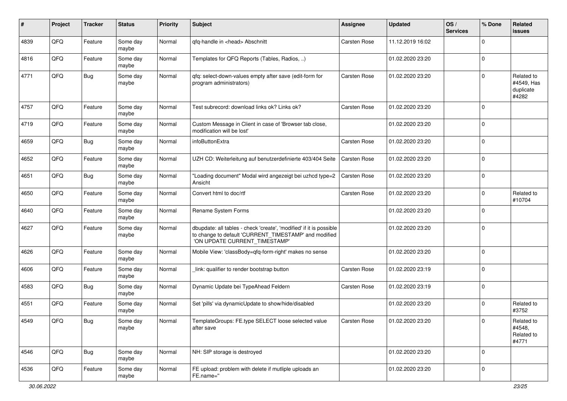| ∦    | Project        | <b>Tracker</b> | <b>Status</b>     | <b>Priority</b> | Subject                                                                                                                                                       | <b>Assignee</b> | <b>Updated</b>   | OS/<br><b>Services</b> | % Done      | Related<br><b>issues</b>                       |
|------|----------------|----------------|-------------------|-----------------|---------------------------------------------------------------------------------------------------------------------------------------------------------------|-----------------|------------------|------------------------|-------------|------------------------------------------------|
| 4839 | QFQ            | Feature        | Some day<br>maybe | Normal          | qfq-handle in <head> Abschnitt</head>                                                                                                                         | Carsten Rose    | 11.12.2019 16:02 |                        | $\Omega$    |                                                |
| 4816 | QFQ            | Feature        | Some day<br>maybe | Normal          | Templates for QFQ Reports (Tables, Radios, )                                                                                                                  |                 | 01.02.2020 23:20 |                        | $\Omega$    |                                                |
| 4771 | QFQ            | Bug            | Some day<br>maybe | Normal          | qfq: select-down-values empty after save (edit-form for<br>program administrators)                                                                            | Carsten Rose    | 01.02.2020 23:20 |                        | $\Omega$    | Related to<br>#4549, Has<br>duplicate<br>#4282 |
| 4757 | QFQ            | Feature        | Some day<br>maybe | Normal          | Test subrecord: download links ok? Links ok?                                                                                                                  | Carsten Rose    | 01.02.2020 23:20 |                        | $\mathbf 0$ |                                                |
| 4719 | QFQ            | Feature        | Some day<br>maybe | Normal          | Custom Message in Client in case of 'Browser tab close,<br>modification will be lost'                                                                         |                 | 01.02.2020 23:20 |                        | $\mathbf 0$ |                                                |
| 4659 | QFQ            | Bug            | Some day<br>maybe | Normal          | infoButtonExtra                                                                                                                                               | Carsten Rose    | 01.02.2020 23:20 |                        | $\mathbf 0$ |                                                |
| 4652 | QFQ            | Feature        | Some day<br>maybe | Normal          | UZH CD: Weiterleitung auf benutzerdefinierte 403/404 Seite                                                                                                    | Carsten Rose    | 01.02.2020 23:20 |                        | $\Omega$    |                                                |
| 4651 | QFQ            | Bug            | Some day<br>maybe | Normal          | 'Loading document" Modal wird angezeigt bei uzhcd type=2<br>Ansicht                                                                                           | Carsten Rose    | 01.02.2020 23:20 |                        | $\Omega$    |                                                |
| 4650 | QFQ            | Feature        | Some day<br>maybe | Normal          | Convert html to doc/rtf                                                                                                                                       | Carsten Rose    | 01.02.2020 23:20 |                        | $\Omega$    | Related to<br>#10704                           |
| 4640 | QFQ            | Feature        | Some day<br>maybe | Normal          | Rename System Forms                                                                                                                                           |                 | 01.02.2020 23:20 |                        | $\mathbf 0$ |                                                |
| 4627 | QFQ            | Feature        | Some day<br>maybe | Normal          | dbupdate: all tables - check 'create', 'modified' if it is possible<br>to change to default 'CURRENT_TIMESTAMP' and modified<br>'ON UPDATE CURRENT_TIMESTAMP' |                 | 01.02.2020 23:20 |                        | $\mathbf 0$ |                                                |
| 4626 | QFQ            | Feature        | Some day<br>maybe | Normal          | Mobile View: 'classBody=qfq-form-right' makes no sense                                                                                                        |                 | 01.02.2020 23:20 |                        | $\mathbf 0$ |                                                |
| 4606 | QFQ            | Feature        | Some day<br>maybe | Normal          | link: qualifier to render bootstrap button                                                                                                                    | Carsten Rose    | 01.02.2020 23:19 |                        | $\mathbf 0$ |                                                |
| 4583 | QFQ            | <b>Bug</b>     | Some day<br>maybe | Normal          | Dynamic Update bei TypeAhead Feldern                                                                                                                          | Carsten Rose    | 01.02.2020 23:19 |                        | $\mathbf 0$ |                                                |
| 4551 | QFQ            | Feature        | Some day<br>maybe | Normal          | Set 'pills' via dynamicUpdate to show/hide/disabled                                                                                                           |                 | 01.02.2020 23:20 |                        | $\mathbf 0$ | Related to<br>#3752                            |
| 4549 | $\mathsf{QFQ}$ | Bug            | Some day<br>maybe | Normal          | TemplateGroups: FE.type SELECT loose selected value<br>after save                                                                                             | Carsten Rose    | 01.02.2020 23:20 |                        | $\pmb{0}$   | Related to<br>#4548,<br>Related to<br>#4771    |
| 4546 | QFQ            | Bug            | Some day<br>maybe | Normal          | NH: SIP storage is destroyed                                                                                                                                  |                 | 01.02.2020 23:20 |                        | 0           |                                                |
| 4536 | QFQ            | Feature        | Some day<br>maybe | Normal          | FE upload: problem with delete if mutliple uploads an<br>FE.name="                                                                                            |                 | 01.02.2020 23:20 |                        | 0           |                                                |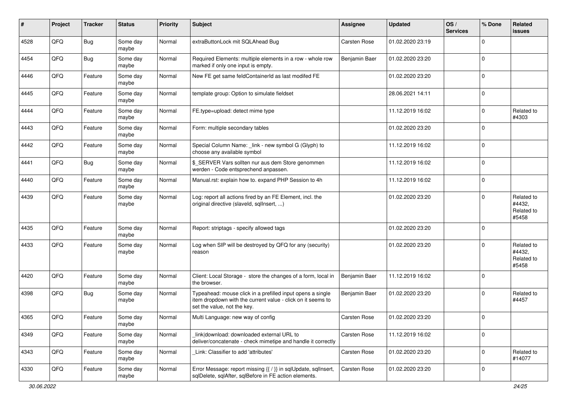| #    | Project | <b>Tracker</b> | <b>Status</b>     | <b>Priority</b> | <b>Subject</b>                                                                                                                                           | <b>Assignee</b> | <b>Updated</b>   | OS/<br><b>Services</b> | % Done      | Related<br><b>issues</b>                    |
|------|---------|----------------|-------------------|-----------------|----------------------------------------------------------------------------------------------------------------------------------------------------------|-----------------|------------------|------------------------|-------------|---------------------------------------------|
| 4528 | QFQ     | <b>Bug</b>     | Some day<br>maybe | Normal          | extraButtonLock mit SQLAhead Bug                                                                                                                         | Carsten Rose    | 01.02.2020 23:19 |                        | 0           |                                             |
| 4454 | QFQ     | Bug            | Some day<br>maybe | Normal          | Required Elements: multiple elements in a row - whole row<br>marked if only one input is empty.                                                          | Benjamin Baer   | 01.02.2020 23:20 |                        | 0           |                                             |
| 4446 | QFQ     | Feature        | Some day<br>maybe | Normal          | New FE get same feldContainerId as last modifed FE                                                                                                       |                 | 01.02.2020 23:20 |                        | 0           |                                             |
| 4445 | QFQ     | Feature        | Some day<br>maybe | Normal          | template group: Option to simulate fieldset                                                                                                              |                 | 28.06.2021 14:11 |                        | 0           |                                             |
| 4444 | QFQ     | Feature        | Some day<br>maybe | Normal          | FE.type=upload: detect mime type                                                                                                                         |                 | 11.12.2019 16:02 |                        | 0           | Related to<br>#4303                         |
| 4443 | QFQ     | Feature        | Some day<br>maybe | Normal          | Form: multiple secondary tables                                                                                                                          |                 | 01.02.2020 23:20 |                        | 0           |                                             |
| 4442 | QFQ     | Feature        | Some day<br>maybe | Normal          | Special Column Name: _link - new symbol G (Glyph) to<br>choose any available symbol                                                                      |                 | 11.12.2019 16:02 |                        | 0           |                                             |
| 4441 | QFQ     | <b>Bug</b>     | Some day<br>maybe | Normal          | \$ SERVER Vars sollten nur aus dem Store genommen<br>werden - Code entsprechend anpassen.                                                                |                 | 11.12.2019 16:02 |                        | 0           |                                             |
| 4440 | QFQ     | Feature        | Some day<br>maybe | Normal          | Manual.rst: explain how to. expand PHP Session to 4h                                                                                                     |                 | 11.12.2019 16:02 |                        | 0           |                                             |
| 4439 | QFQ     | Feature        | Some day<br>maybe | Normal          | Log: report all actions fired by an FE Element, incl. the<br>original directive (slaveld, sqllnsert, )                                                   |                 | 01.02.2020 23:20 |                        | 0           | Related to<br>#4432,<br>Related to<br>#5458 |
| 4435 | QFQ     | Feature        | Some day<br>maybe | Normal          | Report: striptags - specify allowed tags                                                                                                                 |                 | 01.02.2020 23:20 |                        | 0           |                                             |
| 4433 | QFQ     | Feature        | Some day<br>maybe | Normal          | Log when SIP will be destroyed by QFQ for any (security)<br>reason                                                                                       |                 | 01.02.2020 23:20 |                        | 0           | Related to<br>#4432,<br>Related to<br>#5458 |
| 4420 | QFQ     | Feature        | Some day<br>maybe | Normal          | Client: Local Storage - store the changes of a form, local in<br>the browser.                                                                            | Benjamin Baer   | 11.12.2019 16:02 |                        | 0           |                                             |
| 4398 | QFQ     | Bug            | Some day<br>maybe | Normal          | Typeahead: mouse click in a prefilled input opens a single<br>item dropdown with the current value - click on it seems to<br>set the value, not the key. | Benjamin Baer   | 01.02.2020 23:20 |                        | $\mathbf 0$ | Related to<br>#4457                         |
| 4365 | QFQ     | Feature        | Some day<br>maybe | Normal          | Multi Language: new way of config                                                                                                                        | Carsten Rose    | 01.02.2020 23:20 |                        | $\mathbf 0$ |                                             |
| 4349 | QFO     | Feature        | Some day<br>maybe | Normal          | link download: downloaded external URL to<br>deliver/concatenate - check mimetipe and handle it correctly                                                | Carsten Rose    | 11.12.2019 16:02 |                        | 0           |                                             |
| 4343 | QFQ     | Feature        | Some day<br>maybe | Normal          | Link: Classifier to add 'attributes'                                                                                                                     | Carsten Rose    | 01.02.2020 23:20 |                        | 0           | Related to<br>#14077                        |
| 4330 | QFO     | Feature        | Some day<br>maybe | Normal          | Error Message: report missing {{ / }} in sqlUpdate, sqlInsert,<br>sqlDelete, sqlAfter, sqlBefore in FE action elements.                                  | Carsten Rose    | 01.02.2020 23:20 |                        | 0           |                                             |